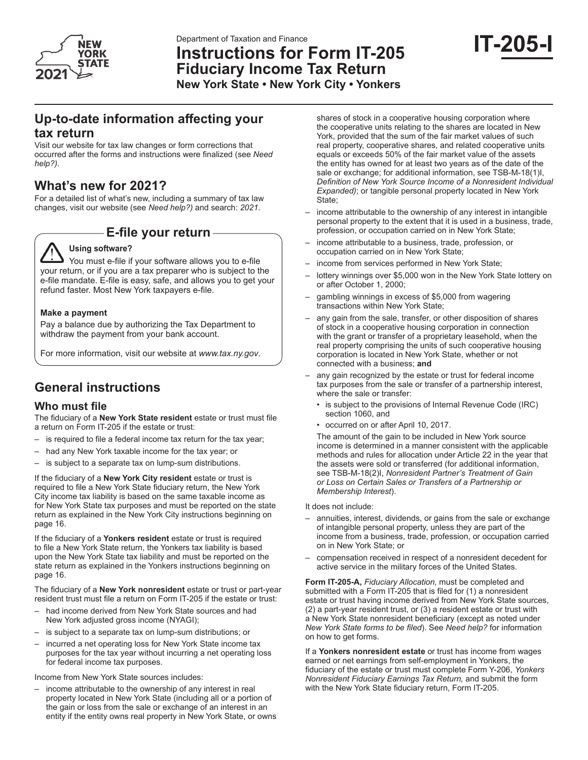

Department of Taxation and Finance

# **Instructions for Form IT-205 Fiduciary Income Tax Return**

**New York State • New York City • Yonkers** 

# **Up-to-date information affecting your tax return**

Visit our website for tax law changes or form corrections that occurred after the forms and instructions were finalized (see *Need help?)*.

# **What's new for 2021?**

For a detailed list of what's new, including a summary of tax law changes, visit our website (see *Need help?)* and search: *2021*.

# **E-file your return**

# **Using software?**

You must e-file if your software allows you to e-file your return, or if you are a tax preparer who is subject to the e-file mandate. E-file is easy, safe, and allows you to get your refund faster. Most New York taxpayers e-file.

### **Make a payment**

Pay a balance due by authorizing the Tax Department to withdraw the payment from your bank account.

For more information, visit our website at *www.tax.ny.gov*.

# **General instructions**

# **Who must file**

The fiduciary of a **New York State resident** estate or trust must file a return on Form IT-205 if the estate or trust:

- is required to file a federal income tax return for the tax year;
- had any New York taxable income for the tax year; or
- is subject to a separate tax on lump-sum distributions.

If the fiduciary of a **New York City resident** estate or trust is required to file a New York State fiduciary return, the New York City income tax liability is based on the same taxable income as for New York State tax purposes and must be reported on the state return as explained in the New York City instructions beginning on page 16.

If the fiduciary of a **Yonkers resident** estate or trust is required to file a New York State return, the Yonkers tax liability is based upon the New York State tax liability and must be reported on the state return as explained in the Yonkers instructions beginning on page 16.

The fiduciary of a **New York nonresident** estate or trust or part-year resident trust must file a return on Form IT-205 if the estate or trust:

- had income derived from New York State sources and had New York adjusted gross income (NYAGI);
- is subject to a separate tax on lump-sum distributions; or
- incurred a net operating loss for New York State income tax purposes for the tax year without incurring a net operating loss for federal income tax purposes.

Income from New York State sources includes:

income attributable to the ownership of any interest in real property located in New York State (including all or a portion of the gain or loss from the sale or exchange of an interest in an entity if the entity owns real property in New York State, or owns

shares of stock in a cooperative housing corporation where the cooperative units relating to the shares are located in New York, provided that the sum of the fair market values of such real property, cooperative shares, and related cooperative units equals or exceeds 50% of the fair market value of the assets the entity has owned for at least two years as of the date of the sale or exchange; for additional information, see TSB-M-18(1)I, *Definition of New York Source Income of a Nonresident Individual Expanded)*; or tangible personal property located in New York State:

- income attributable to the ownership of any interest in intangible personal property to the extent that it is used in a business, trade, profession, or occupation carried on in New York State;
- income attributable to a business, trade, profession, or occupation carried on in New York State;
- income from services performed in New York State;
- lottery winnings over \$5,000 won in the New York State lottery on or after October 1, 2000;
- gambling winnings in excess of \$5,000 from wagering transactions within New York State;
- any gain from the sale, transfer, or other disposition of shares of stock in a cooperative housing corporation in connection with the grant or transfer of a proprietary leasehold, when the real property comprising the units of such cooperative housing corporation is located in New York State, whether or not connected with a business; **and**
- any gain recognized by the estate or trust for federal income tax purposes from the sale or transfer of a partnership interest, where the sale or transfer:
	- is subject to the provisions of Internal Revenue Code (IRC) section 1060, and
	- occurred on or after April 10, 2017.

The amount of the gain to be included in New York source income is determined in a manner consistent with the applicable methods and rules for allocation under Article 22 in the year that the assets were sold or transferred (for additional information, see TSB-M-18(2)I, *Nonresident Partner's Treatment of Gain or Loss on Certain Sales or Transfers of a Partnership or Membership Interest*).

It does not include:

- annuities, interest, dividends, or gains from the sale or exchange of intangible personal property, unless they are part of the income from a business, trade, profession, or occupation carried on in New York State; or
- compensation received in respect of a nonresident decedent for active service in the military forces of the United States.

**Form IT-205-A,** *Fiduciary Allocation,* must be completed and submitted with a Form IT-205 that is filed for (1) a nonresident estate or trust having income derived from New York State sources, (2) a part-year resident trust, or (3) a resident estate or trust with a New York State nonresident beneficiary (except as noted under *New York State forms to be filed*). See *Need help?* for information on how to get forms.

If a **Yonkers nonresident estate** or trust has income from wages earned or net earnings from self-employment in Yonkers, the fiduciary of the estate or trust must complete Form Y‑206, *Yonkers Nonresident Fiduciary Earnings Tax Return,* and submit the form with the New York State fiduciary return, Form IT-205.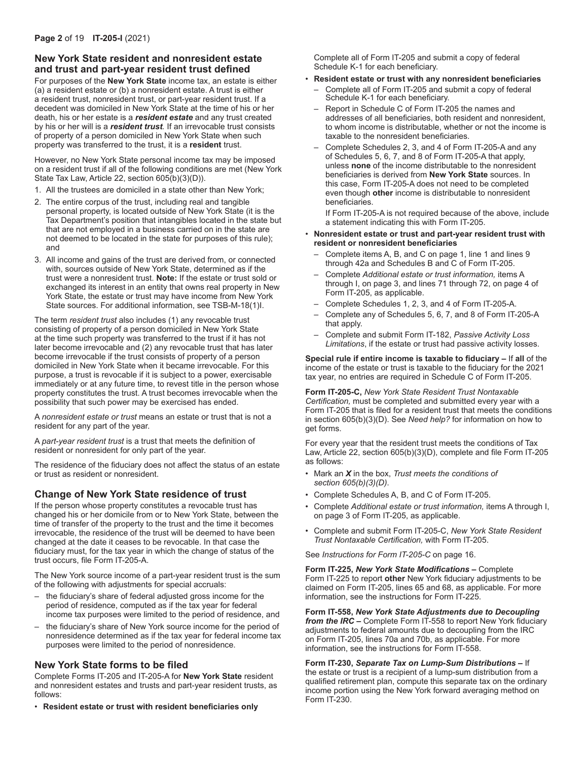# **New York State resident and nonresident estate and trust and part-year resident trust defined**

For purposes of the **New York State** income tax, an estate is either (a) a resident estate or (b) a nonresident estate. A trust is either a resident trust, nonresident trust, or part-year resident trust. If a decedent was domiciled in New York State at the time of his or her death, his or her estate is a *resident estate* and any trust created by his or her will is a *resident trust.* If an irrevocable trust consists of property of a person domiciled in New York State when such property was transferred to the trust, it is a **resident** trust.

However, no New York State personal income tax may be imposed on a resident trust if all of the following conditions are met (New York State Tax Law, Article 22, section 605(b)(3)(D)).

- 1. All the trustees are domiciled in a state other than New York;
- 2. The entire corpus of the trust, including real and tangible personal property, is located outside of New York State (it is the Tax Department's position that intangibles located in the state but that are not employed in a business carried on in the state are not deemed to be located in the state for purposes of this rule); and
- 3. All income and gains of the trust are derived from, or connected with, sources outside of New York State, determined as if the trust were a nonresident trust. **Note:** If the estate or trust sold or exchanged its interest in an entity that owns real property in New York State, the estate or trust may have income from New York State sources. For additional information, see TSB-M-18(1)I.

The term *resident trust* also includes (1) any revocable trust consisting of property of a person domiciled in New York State at the time such property was transferred to the trust if it has not later become irrevocable and (2) any revocable trust that has later become irrevocable if the trust consists of property of a person domiciled in New York State when it became irrevocable. For this purpose, a trust is revocable if it is subject to a power, exercisable immediately or at any future time, to revest title in the person whose property constitutes the trust. A trust becomes irrevocable when the possibility that such power may be exercised has ended.

A *nonresident estate or trust* means an estate or trust that is not a resident for any part of the year.

A *part-year resident trust* is a trust that meets the definition of resident or nonresident for only part of the year.

The residence of the fiduciary does not affect the status of an estate or trust as resident or nonresident.

## **Change of New York State residence of trust**

If the person whose property constitutes a revocable trust has changed his or her domicile from or to New York State, between the time of transfer of the property to the trust and the time it becomes irrevocable, the residence of the trust will be deemed to have been changed at the date it ceases to be revocable. In that case the fiduciary must, for the tax year in which the change of status of the trust occurs, file Form IT‑205‑A.

The New York source income of a part-year resident trust is the sum of the following with adjustments for special accruals:

- the fiduciary's share of federal adjusted gross income for the period of residence, computed as if the tax year for federal income tax purposes were limited to the period of residence, and
- the fiduciary's share of New York source income for the period of nonresidence determined as if the tax year for federal income tax purposes were limited to the period of nonresidence.

## **New York State forms to be filed**

Complete Forms IT‑205 and IT‑205‑A for **New York State** resident and nonresident estates and trusts and part-year resident trusts, as follows:

• **Resident estate or trust with resident beneficiaries only**

Complete all of Form IT-205 and submit a copy of federal Schedule K-1 for each beneficiary.

- **Resident estate or trust with any nonresident beneficiaries**
	- Complete all of Form IT-205 and submit a copy of federal Schedule K-1 for each beneficiary.
	- Report in Schedule C of Form IT-205 the names and addresses of all beneficiaries, both resident and nonresident, to whom income is distributable, whether or not the income is taxable to the nonresident beneficiaries.
	- Complete Schedules 2, 3, and 4 of Form IT-205-A and any of Schedules 5, 6, 7, and 8 of Form IT-205-A that apply, unless **none** of the income distributable to the nonresident beneficiaries is derived from **New York State** sources. In this case, Form IT-205-A does not need to be completed even though **other** income is distributable to nonresident beneficiaries.

If Form IT-205-A is not required because of the above, include a statement indicating this with Form IT-205.

- **Nonresident estate or trust and part-year resident trust with resident or nonresident beneficiaries**
	- Complete items A, B, and C on page 1, line 1 and lines 9 through 42a and Schedules B and C of Form IT‑205.
	- Complete *Additional estate or trust information,* items A through I, on page 3, and lines 71 through 72, on page 4 of Form IT-205, as applicable.
	- Complete Schedules 1, 2, 3, and 4 of Form IT‑205‑A.
	- Complete any of Schedules 5, 6, 7, and 8 of Form IT‑205‑A that apply.
	- Complete and submit Form IT-182, *Passive Activity Loss Limitations*, if the estate or trust had passive activity losses.

**Special rule if entire income is taxable to fiduciary –** If **all** of the income of the estate or trust is taxable to the fiduciary for the 2021 tax year, no entries are required in Schedule C of Form IT‑205.

**Form IT-205-C,** *New York State Resident Trust Nontaxable Certification,* must be completed and submitted every year with a Form IT-205 that is filed for a resident trust that meets the conditions in section 605(b)(3)(D). See *Need help?* for information on how to get forms.

For every year that the resident trust meets the conditions of Tax Law, Article 22, section 605(b)(3)(D), complete and file Form IT-205 as follows:

- Mark an *X* in the box, *Trust meets the conditions of section 605(b)(3)(D)*.
- Complete Schedules A, B, and C of Form IT-205.
- Complete *Additional estate or trust information,* items A through I, on page 3 of Form IT-205, as applicable.
- Complete and submit Form IT-205-C, *New York State Resident Trust Nontaxable Certification,* with Form IT-205.

See *Instructions for Form IT-205-C* on page 16.

**Form IT-225,** *New York State Modifications* **–** Complete Form IT-225 to report **other** New York fiduciary adjustments to be claimed on Form IT-205, lines 65 and 68, as applicable. For more information, see the instructions for Form IT-225.

**Form IT-558,** *New York State Adjustments due to Decoupling from the IRC* **–** Complete Form IT-558 to report New York fiduciary adjustments to federal amounts due to decoupling from the IRC on Form IT-205, lines 70a and 70b, as applicable. For more information, see the instructions for Form IT-558.

**Form IT-230,** *Separate Tax on Lump-Sum Distributions* **–** If the estate or trust is a recipient of a lump-sum distribution from a qualified retirement plan, compute this separate tax on the ordinary income portion using the New York forward averaging method on Form IT‑230.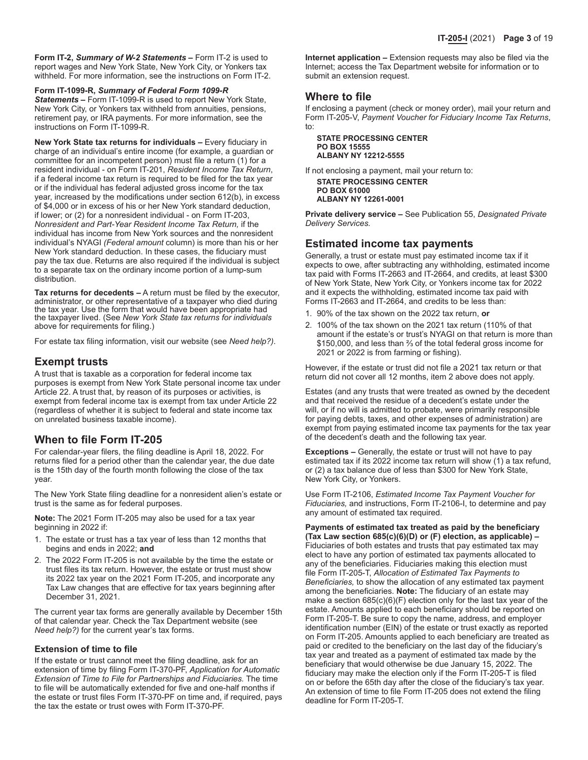**Form IT-2,** *Summary of W-2 Statements* **–** Form IT-2 is used to report wages and New York State, New York City, or Yonkers tax withheld. For more information, see the instructions on Form IT-2.

**Form IT-1099-R,** *Summary of Federal Form 1099-R* 

*Statements* **–** Form IT-1099-R is used to report New York State, New York City, or Yonkers tax withheld from annuities, pensions, retirement pay, or IRA payments. For more information, see the instructions on Form IT-1099-R.

**New York State tax returns for individuals –** Every fiduciary in charge of an individual's entire income (for example, a guardian or committee for an incompetent person) must file a return (1) for a resident individual - on Form IT-201, *Resident Income Tax Return*, if a federal income tax return is required to be filed for the tax year or if the individual has federal adjusted gross income for the tax year, increased by the modifications under section 612(b), in excess of \$4,000 or in excess of his or her New York standard deduction, if lower; or (2) for a nonresident individual - on Form IT‑203, *Nonresident and Part-Year Resident Income Tax Return,* if the individual has income from New York sources and the nonresident individual's NYAGI *(Federal amount* column) is more than his or her New York standard deduction. In these cases, the fiduciary must pay the tax due. Returns are also required if the individual is subject to a separate tax on the ordinary income portion of a lump-sum distribution.

**Tax returns for decedents –** A return must be filed by the executor, administrator, or other representative of a taxpayer who died during the tax year. Use the form that would have been appropriate had the taxpayer lived. (See *New York State tax returns for individuals* above for requirements for filing.)

For estate tax filing information, visit our website (see *Need help?)*.

# **Exempt trusts**

A trust that is taxable as a corporation for federal income tax purposes is exempt from New York State personal income tax under Article 22. A trust that, by reason of its purposes or activities, is exempt from federal income tax is exempt from tax under Article 22 (regardless of whether it is subject to federal and state income tax on unrelated business taxable income).

# **When to file Form IT-205**

For calendar‑year filers, the filing deadline is April 18, 2022. For returns filed for a period other than the calendar year, the due date is the 15th day of the fourth month following the close of the tax year.

The New York State filing deadline for a nonresident alien's estate or trust is the same as for federal purposes.

**Note:** The 2021 Form IT-205 may also be used for a tax year beginning in 2022 if:

- 1. The estate or trust has a tax year of less than 12 months that begins and ends in 2022; **and**
- 2. The 2022 Form IT-205 is not available by the time the estate or trust files its tax return. However, the estate or trust must show its 2022 tax year on the 2021 Form IT-205, and incorporate any Tax Law changes that are effective for tax years beginning after December 31, 2021.

The current year tax forms are generally available by December 15th of that calendar year. Check the Tax Department website (see *Need help?)* for the current year's tax forms.

### **Extension of time to file**

If the estate or trust cannot meet the filing deadline, ask for an extension of time by filing Form IT‑370‑PF, *Application for Automatic Extension of Time to File for Partnerships and Fiduciaries.* The time to file will be automatically extended for five and one-half months if the estate or trust files Form IT‑370‑PF on time and, if required, pays the tax the estate or trust owes with Form IT‑370‑PF.

**Internet application –** Extension requests may also be filed via the Internet; access the Tax Department website for information or to submit an extension request.

# **Where to file**

If enclosing a payment (check or money order), mail your return and Form IT-205-V, *Payment Voucher for Fiduciary Income Tax Returns*, to:

**STATE PROCESSING CENTER PO BOX 15555 ALBANY NY 12212-5555**

If not enclosing a payment, mail your return to:

**STATE PROCESSING CENTER PO BOX 61000 ALBANY NY 12261-0001**

**Private delivery service –** See Publication 55, *Designated Private Delivery Services.*

# **Estimated income tax payments**

Generally, a trust or estate must pay estimated income tax if it expects to owe, after subtracting any withholding, estimated income tax paid with Forms IT-2663 and IT-2664, and credits, at least \$300 of New York State, New York City, or Yonkers income tax for 2022 and it expects the withholding, estimated income tax paid with Forms IT-2663 and IT-2664, and credits to be less than:

- 1. 90% of the tax shown on the 2022 tax return, **or**
- 2. 100% of the tax shown on the 2021 tax return (110% of that amount if the estate's or trust's NYAGI on that return is more than \$150,000, and less than ⅔ of the total federal gross income for 2021 or 2022 is from farming or fishing).

However, if the estate or trust did not file a 2021 tax return or that return did not cover all 12 months, item 2 above does not apply.

Estates (and any trusts that were treated as owned by the decedent and that received the residue of a decedent's estate under the will, or if no will is admitted to probate, were primarily responsible for paying debts, taxes, and other expenses of administration) are exempt from paying estimated income tax payments for the tax year of the decedent's death and the following tax year.

**Exceptions –** Generally, the estate or trust will not have to pay estimated tax if its 2022 income tax return will show (1) a tax refund, or (2) a tax balance due of less than \$300 for New York State, New York City, or Yonkers.

Use Form IT-2106, *Estimated Income Tax Payment Voucher for Fiduciaries,* and instructions, Form IT-2106-I, to determine and pay any amount of estimated tax required.

**Payments of estimated tax treated as paid by the beneficiary (Tax Law section 685(c)(6)(D) or (F) election, as applicable) –**  Fiduciaries of both estates and trusts that pay estimated tax may elect to have any portion of estimated tax payments allocated to any of the beneficiaries. Fiduciaries making this election must file Form IT‑205‑T, *Allocation of Estimated Tax Payments to Beneficiaries,* to show the allocation of any estimated tax payment among the beneficiaries. **Note:** The fiduciary of an estate may make a section 685(c)(6)(F) election only for the last tax year of the estate. Amounts applied to each beneficiary should be reported on Form IT‑205‑T. Be sure to copy the name, address, and employer identification number (EIN) of the estate or trust exactly as reported on Form IT‑205. Amounts applied to each beneficiary are treated as paid or credited to the beneficiary on the last day of the fiduciary's tax year and treated as a payment of estimated tax made by the beneficiary that would otherwise be due January 15, 2022. The fiduciary may make the election only if the Form IT‑205‑T is filed on or before the 65th day after the close of the fiduciary's tax year. An extension of time to file Form IT‑205 does not extend the filing deadline for Form IT-205-T.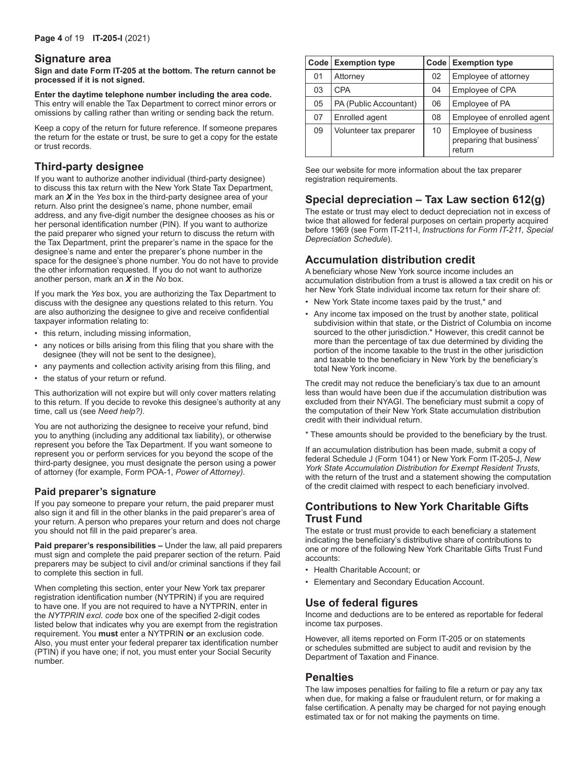### **Signature area**

**Sign and date Form IT‑205 at the bottom. The return cannot be processed if it is not signed.**

**Enter the daytime telephone number including the area code.** This entry will enable the Tax Department to correct minor errors or omissions by calling rather than writing or sending back the return.

Keep a copy of the return for future reference. If someone prepares the return for the estate or trust, be sure to get a copy for the estate or trust records.

# **Third-party designee**

If you want to authorize another individual (third-party designee) to discuss this tax return with the New York State Tax Department, mark an *X* in the *Yes* box in the third-party designee area of your return. Also print the designee's name, phone number, email address, and any five-digit number the designee chooses as his or her personal identification number (PIN). If you want to authorize the paid preparer who signed your return to discuss the return with the Tax Department, print the preparer's name in the space for the designee's name and enter the preparer's phone number in the space for the designee's phone number. You do not have to provide the other information requested. If you do not want to authorize another person, mark an *X* in the *No* box.

If you mark the *Yes* box, you are authorizing the Tax Department to discuss with the designee any questions related to this return. You are also authorizing the designee to give and receive confidential taxpayer information relating to:

- this return, including missing information,
- any notices or bills arising from this filing that you share with the designee (they will not be sent to the designee),
- any payments and collection activity arising from this filing, and
- the status of your return or refund.

This authorization will not expire but will only cover matters relating to this return. If you decide to revoke this designee's authority at any time, call us (see *Need help?)*.

You are not authorizing the designee to receive your refund, bind you to anything (including any additional tax liability), or otherwise represent you before the Tax Department. If you want someone to represent you or perform services for you beyond the scope of the third-party designee, you must designate the person using a power of attorney (for example, Form POA-1, *Power of Attorney)*.

## **Paid preparer's signature**

If you pay someone to prepare your return, the paid preparer must also sign it and fill in the other blanks in the paid preparer's area of your return. A person who prepares your return and does not charge you should not fill in the paid preparer's area.

**Paid preparer's responsibilities –** Under the law, all paid preparers must sign and complete the paid preparer section of the return. Paid preparers may be subject to civil and/or criminal sanctions if they fail to complete this section in full.

When completing this section, enter your New York tax preparer registration identification number (NYTPRIN) if you are required to have one. If you are not required to have a NYTPRIN, enter in the *NYTPRIN excl. code* box one of the specified 2-digit codes listed below that indicates why you are exempt from the registration requirement. You **must** enter a NYTPRIN **or** an exclusion code. Also, you must enter your federal preparer tax identification number (PTIN) if you have one; if not, you must enter your Social Security number.

|    | Code Exemption type    |    | Code   Exemption type                                      |
|----|------------------------|----|------------------------------------------------------------|
| 01 | Attorney               | 02 | Employee of attorney                                       |
| 03 | <b>CPA</b>             | 04 | Employee of CPA                                            |
| 05 | PA (Public Accountant) | 06 | Employee of PA                                             |
| 07 | Enrolled agent         | 08 | Employee of enrolled agent                                 |
| 09 | Volunteer tax preparer | 10 | Employee of business<br>preparing that business'<br>return |

See our website for more information about the tax preparer registration requirements.

# **Special depreciation – Tax Law section 612(g)**

The estate or trust may elect to deduct depreciation not in excess of twice that allowed for federal purposes on certain property acquired before 1969 (see Form IT‑211‑I, *Instructions for Form IT-211, Special Depreciation Schedule*).

# **Accumulation distribution credit**

A beneficiary whose New York source income includes an accumulation distribution from a trust is allowed a tax credit on his or her New York State individual income tax return for their share of:

- New York State income taxes paid by the trust,\* and
- Any income tax imposed on the trust by another state, political subdivision within that state, or the District of Columbia on income sourced to the other jurisdiction.\* However, this credit cannot be more than the percentage of tax due determined by dividing the portion of the income taxable to the trust in the other jurisdiction and taxable to the beneficiary in New York by the beneficiary's total New York income.

The credit may not reduce the beneficiary's tax due to an amount less than would have been due if the accumulation distribution was excluded from their NYAGI. The beneficiary must submit a copy of the computation of their New York State accumulation distribution credit with their individual return.

\* These amounts should be provided to the beneficiary by the trust.

If an accumulation distribution has been made, submit a copy of federal Schedule J (Form 1041) or New York Form IT-205-J, *New York State Accumulation Distribution for Exempt Resident Trusts*, with the return of the trust and a statement showing the computation of the credit claimed with respect to each beneficiary involved.

# **Contributions to New York Charitable Gifts Trust Fund**

The estate or trust must provide to each beneficiary a statement indicating the beneficiary's distributive share of contributions to one or more of the following New York Charitable Gifts Trust Fund accounts:

- Health Charitable Account; or
- Elementary and Secondary Education Account.

# **Use of federal figures**

Income and deductions are to be entered as reportable for federal income tax purposes.

However, all items reported on Form IT-205 or on statements or schedules submitted are subject to audit and revision by the Department of Taxation and Finance.

## **Penalties**

The law imposes penalties for failing to file a return or pay any tax when due, for making a false or fraudulent return, or for making a false certification. A penalty may be charged for not paying enough estimated tax or for not making the payments on time.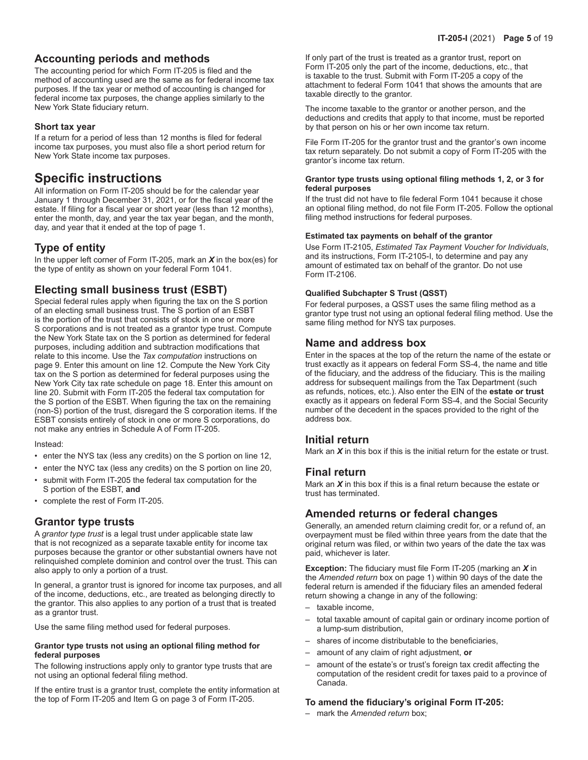# **Accounting periods and methods**

The accounting period for which Form IT‑205 is filed and the method of accounting used are the same as for federal income tax purposes. If the tax year or method of accounting is changed for federal income tax purposes, the change applies similarly to the New York State fiduciary return.

### **Short tax year**

If a return for a period of less than 12 months is filed for federal income tax purposes, you must also file a short period return for New York State income tax purposes.

# **Specific instructions**

All information on Form IT‑205 should be for the calendar year January 1 through December 31, 2021, or for the fiscal year of the estate. If filing for a fiscal year or short year (less than 12 months), enter the month, day, and year the tax year began, and the month, day, and year that it ended at the top of page 1.

# **Type of entity**

In the upper left corner of Form IT-205, mark an *X* in the box(es) for the type of entity as shown on your federal Form 1041.

# **Electing small business trust (ESBT)**

Special federal rules apply when figuring the tax on the S portion of an electing small business trust. The S portion of an ESBT is the portion of the trust that consists of stock in one or more S corporations and is not treated as a grantor type trust. Compute the New York State tax on the S portion as determined for federal purposes, including addition and subtraction modifications that relate to this income. Use the *Tax computation* instructions on page 9. Enter this amount on line 12. Compute the New York City tax on the S portion as determined for federal purposes using the New York City tax rate schedule on page 18. Enter this amount on line 20. Submit with Form IT-205 the federal tax computation for the S portion of the ESBT. When figuring the tax on the remaining (non-S) portion of the trust, disregard the S corporation items. If the ESBT consists entirely of stock in one or more S corporations, do not make any entries in Schedule A of Form IT-205.

Instead:

- enter the NYS tax (less any credits) on the S portion on line 12,
- enter the NYC tax (less any credits) on the S portion on line 20,
- submit with Form IT-205 the federal tax computation for the S portion of the ESBT, **and**
- complete the rest of Form IT-205.

## **Grantor type trusts**

A *grantor type trust* is a legal trust under applicable state law that is not recognized as a separate taxable entity for income tax purposes because the grantor or other substantial owners have not relinquished complete dominion and control over the trust. This can also apply to only a portion of a trust.

In general, a grantor trust is ignored for income tax purposes, and all of the income, deductions, etc., are treated as belonging directly to the grantor. This also applies to any portion of a trust that is treated as a grantor trust.

Use the same filing method used for federal purposes.

#### **Grantor type trusts not using an optional filing method for federal purposes**

The following instructions apply only to grantor type trusts that are not using an optional federal filing method.

If the entire trust is a grantor trust, complete the entity information at the top of Form IT-205 and Item G on page 3 of Form IT-205.

If only part of the trust is treated as a grantor trust, report on Form IT-205 only the part of the income, deductions, etc., that is taxable to the trust. Submit with Form IT-205 a copy of the attachment to federal Form 1041 that shows the amounts that are taxable directly to the grantor.

The income taxable to the grantor or another person, and the deductions and credits that apply to that income, must be reported by that person on his or her own income tax return.

File Form IT-205 for the grantor trust and the grantor's own income tax return separately. Do not submit a copy of Form IT-205 with the grantor's income tax return.

#### **Grantor type trusts using optional filing methods 1, 2, or 3 for federal purposes**

If the trust did not have to file federal Form 1041 because it chose an optional filing method, do not file Form IT-205. Follow the optional filing method instructions for federal purposes.

#### **Estimated tax payments on behalf of the grantor**

Use Form IT-2105, *Estimated Tax Payment Voucher for Individuals*, and its instructions, Form IT-2105-I, to determine and pay any amount of estimated tax on behalf of the grantor. Do not use Form IT-2106.

#### **Qualified Subchapter S Trust (QSST)**

For federal purposes, a QSST uses the same filing method as a grantor type trust not using an optional federal filing method. Use the same filing method for NYS tax purposes.

## **Name and address box**

Enter in the spaces at the top of the return the name of the estate or trust exactly as it appears on federal Form SS-4, the name and title of the fiduciary, and the address of the fiduciary. This is the mailing address for subsequent mailings from the Tax Department (such as refunds, notices, etc.). Also enter the EIN of the **estate or trust** exactly as it appears on federal Form SS-4, and the Social Security number of the decedent in the spaces provided to the right of the address box.

## **Initial return**

Mark an *X* in this box if this is the initial return for the estate or trust.

## **Final return**

Mark an *X* in this box if this is a final return because the estate or trust has terminated.

# **Amended returns or federal changes**

Generally, an amended return claiming credit for, or a refund of, an overpayment must be filed within three years from the date that the original return was filed, or within two years of the date the tax was paid, whichever is later.

**Exception:** The fiduciary must file Form IT-205 (marking an *X* in the *Amended return* box on page 1) within 90 days of the date the federal return is amended if the fiduciary files an amended federal return showing a change in any of the following:

- taxable income,
- total taxable amount of capital gain or ordinary income portion of a lump-sum distribution,
- shares of income distributable to the beneficiaries,
- amount of any claim of right adjustment, **or**
- amount of the estate's or trust's foreign tax credit affecting the computation of the resident credit for taxes paid to a province of Canada.

### **To amend the fiduciary's original Form IT-205:**

– mark the *Amended return* box;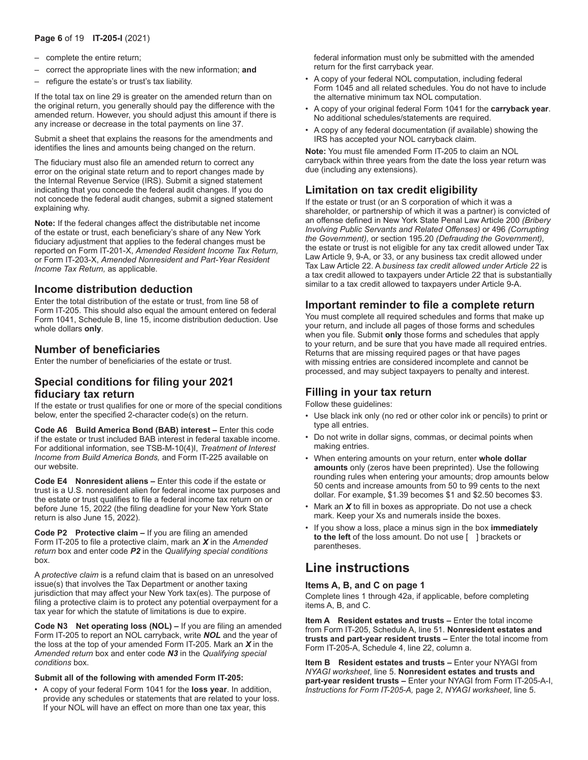## **Page 6** of 19 **IT-205-I** (2021)

- complete the entire return;
- correct the appropriate lines with the new information; **and**
- refigure the estate's or trust's tax liability.

If the total tax on line 29 is greater on the amended return than on the original return, you generally should pay the difference with the amended return. However, you should adjust this amount if there is any increase or decrease in the total payments on line 37.

Submit a sheet that explains the reasons for the amendments and identifies the lines and amounts being changed on the return.

The fiduciary must also file an amended return to correct any error on the original state return and to report changes made by the Internal Revenue Service (IRS). Submit a signed statement indicating that you concede the federal audit changes. If you do not concede the federal audit changes, submit a signed statement explaining why.

**Note:** If the federal changes affect the distributable net income of the estate or trust, each beneficiary's share of any New York fiduciary adjustment that applies to the federal changes must be reported on Form IT-201-X, *Amended Resident Income Tax Return,* or Form IT‑203‑X, *Amended Nonresident and Part-Year Resident Income Tax Return,* as applicable.

# **Income distribution deduction**

Enter the total distribution of the estate or trust, from line 58 of Form IT-205. This should also equal the amount entered on federal Form 1041, Schedule B, line 15, income distribution deduction. Use whole dollars **only**.

## **Number of beneficiaries**

Enter the number of beneficiaries of the estate or trust.

# **Special conditions for filing your 2021 fiduciary tax return**

If the estate or trust qualifies for one or more of the special conditions below, enter the specified 2-character code(s) on the return.

**Code A6 Build America Bond (BAB) interest –** Enter this code if the estate or trust included BAB interest in federal taxable income. For additional information, see TSB-M-10(4)I, *Treatment of Interest Income from Build America Bonds,* and Form IT-225 available on our website.

**Code E4 Nonresident aliens –** Enter this code if the estate or trust is a U.S. nonresident alien for federal income tax purposes and the estate or trust qualifies to file a federal income tax return on or before June 15, 2022 (the filing deadline for your New York State return is also June 15, 2022).

**Code P2 Protective claim –** If you are filing an amended Form IT-205 to file a protective claim, mark an *X* in the *Amended return* box and enter code *P2* in the *Qualifying special conditions* box.

A *protective claim* is a refund claim that is based on an unresolved issue(s) that involves the Tax Department or another taxing jurisdiction that may affect your New York tax(es). The purpose of filing a protective claim is to protect any potential overpayment for a tax year for which the statute of limitations is due to expire.

**Code N3 Net operating loss (NOL) –** If you are filing an amended Form IT-205 to report an NOL carryback, write *NOL* and the year of the loss at the top of your amended Form IT-205. Mark an *X* in the *Amended return* box and enter code *N3* in the *Qualifying special conditions* box.

#### **Submit all of the following with amended Form IT-205:**

• A copy of your federal Form 1041 for the **loss year**. In addition, provide any schedules or statements that are related to your loss. If your NOL will have an effect on more than one tax year, this

federal information must only be submitted with the amended return for the first carryback year.

- A copy of your federal NOL computation, including federal Form 1045 and all related schedules. You do not have to include the alternative minimum tax NOL computation.
- A copy of your original federal Form 1041 for the **carryback year**. No additional schedules/statements are required.
- A copy of any federal documentation (if available) showing the IRS has accepted your NOL carryback claim.

**Note:** You must file amended Form IT-205 to claim an NOL carryback within three years from the date the loss year return was due (including any extensions).

# **Limitation on tax credit eligibility**

If the estate or trust (or an S corporation of which it was a shareholder, or partnership of which it was a partner) is convicted of an offense defined in New York State Penal Law Article 200 *(Bribery Involving Public Servants and Related Offenses)* or 496 *(Corrupting the Government),* or section 195.20 *(Defrauding the Government),* the estate or trust is not eligible for any tax credit allowed under Tax Law Article 9, 9-A, or 33, or any business tax credit allowed under Tax Law Article 22. A *business tax credit allowed under Article 22* is a tax credit allowed to taxpayers under Article 22 that is substantially similar to a tax credit allowed to taxpayers under Article 9-A.

# **Important reminder to file a complete return**

You must complete all required schedules and forms that make up your return, and include all pages of those forms and schedules when you file. Submit **only** those forms and schedules that apply to your return, and be sure that you have made all required entries. Returns that are missing required pages or that have pages with missing entries are considered incomplete and cannot be processed, and may subject taxpayers to penalty and interest.

# **Filling in your tax return**

Follow these guidelines:

- Use black ink only (no red or other color ink or pencils) to print or type all entries.
- Do not write in dollar signs, commas, or decimal points when making entries.
- When entering amounts on your return, enter **whole dollar amounts** only (zeros have been preprinted). Use the following rounding rules when entering your amounts; drop amounts below 50 cents and increase amounts from 50 to 99 cents to the next dollar. For example, \$1.39 becomes \$1 and \$2.50 becomes \$3.
- Mark an *X* to fill in boxes as appropriate. Do not use a check mark. Keep your Xs and numerals inside the boxes.
- If you show a loss, place a minus sign in the box **immediately to the left** of the loss amount. Do not use [ ] brackets or parentheses.

# **Line instructions**

### **Items A, B, and C on page 1**

Complete lines 1 through 42a, if applicable, before completing items A, B, and C.

**Item A Resident estates and trusts –** Enter the total income from Form IT‑205, Schedule A, line 51. **Nonresident estates and trusts and part‑year resident trusts –** Enter the total income from Form IT‑205‑A, Schedule 4, line 22, column a.

**Item B Resident estates and trusts – Enter your NYAGI from** *NYAGI worksheet*, line 5. **Nonresident estates and trusts and part‑year resident trusts –** Enter your NYAGI from Form IT‑205‑A‑I, *Instructions for Form IT-205-A,* page 2, *NYAGI worksheet*, line 5.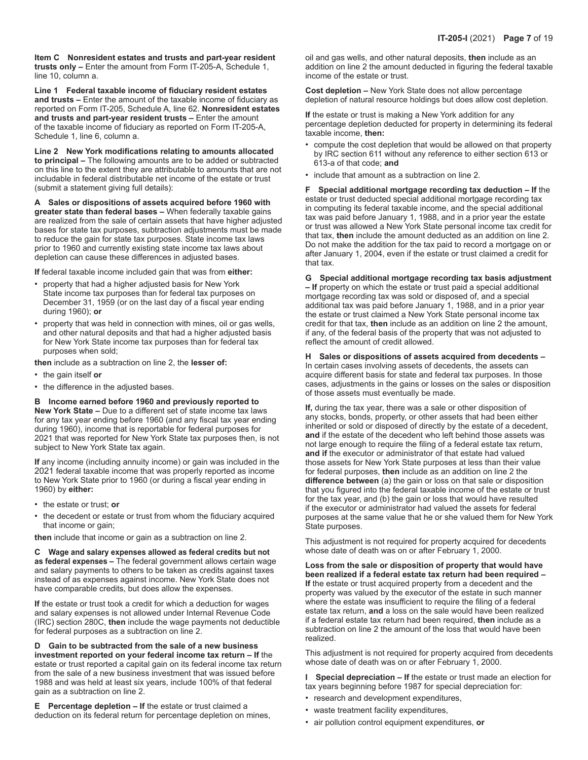**Item C Nonresident estates and trusts and part-year resident trusts only –** Enter the amount from Form IT‑205‑A, Schedule 1, line 10, column a.

**Line 1 Federal taxable income of fiduciary resident estates and trusts –** Enter the amount of the taxable income of fiduciary as reported on Form IT‑205, Schedule A, line 62. **Nonresident estates and trusts and part-year resident trusts –** Enter the amount of the taxable income of fiduciary as reported on Form IT‑205‑A, Schedule 1, line 6, column a.

**Line 2 New York modifications relating to amounts allocated to principal –** The following amounts are to be added or subtracted on this line to the extent they are attributable to amounts that are not includable in federal distributable net income of the estate or trust (submit a statement giving full details):

**A Sales or dispositions of assets acquired before 1960 with greater state than federal bases –** When federally taxable gains are realized from the sale of certain assets that have higher adjusted bases for state tax purposes, subtraction adjustments must be made to reduce the gain for state tax purposes. State income tax laws prior to 1960 and currently existing state income tax laws about depletion can cause these differences in adjusted bases.

**If** federal taxable income included gain that was from **either:**

- property that had a higher adjusted basis for New York State income tax purposes than for federal tax purposes on December 31, 1959 (or on the last day of a fiscal year ending during 1960); **or**
- property that was held in connection with mines, oil or gas wells, and other natural deposits and that had a higher adjusted basis for New York State income tax purposes than for federal tax purposes when sold;

**then** include as a subtraction on line 2, the **lesser of:**

- the gain itself **or**
- the difference in the adjusted bases.

**B Income earned before 1960 and previously reported to New York State –** Due to a different set of state income tax laws for any tax year ending before 1960 (and any fiscal tax year ending during 1960), income that is reportable for federal purposes for

2021 that was reported for New York State tax purposes then, is not subject to New York State tax again.

**If** any income (including annuity income) or gain was included in the 2021 federal taxable income that was properly reported as income to New York State prior to 1960 (or during a fiscal year ending in 1960) by **either:**

- the estate or trust; **or**
- the decedent or estate or trust from whom the fiduciary acquired that income or gain;

**then** include that income or gain as a subtraction on line 2.

**C Wage and salary expenses allowed as federal credits but not as federal expenses –** The federal government allows certain wage and salary payments to others to be taken as credits against taxes instead of as expenses against income. New York State does not have comparable credits, but does allow the expenses.

**If** the estate or trust took a credit for which a deduction for wages and salary expenses is not allowed under Internal Revenue Code (IRC) section 280C, **then** include the wage payments not deductible for federal purposes as a subtraction on line 2.

**D Gain to be subtracted from the sale of a new business investment reported on your federal income tax return – If** the estate or trust reported a capital gain on its federal income tax return from the sale of a new business investment that was issued before 1988 and was held at least six years, include 100% of that federal gain as a subtraction on line 2.

**E Percentage depletion – If** the estate or trust claimed a deduction on its federal return for percentage depletion on mines,

oil and gas wells, and other natural deposits, **then** include as an addition on line 2 the amount deducted in figuring the federal taxable income of the estate or trust.

**Cost depletion –** New York State does not allow percentage depletion of natural resource holdings but does allow cost depletion.

**If** the estate or trust is making a New York addition for any percentage depletion deducted for property in determining its federal taxable income, **then:**

- compute the cost depletion that would be allowed on that property by IRC section 611 without any reference to either section 613 or 613-a of that code; **and**
- include that amount as a subtraction on line 2.

**F Special additional mortgage recording tax deduction – If** the estate or trust deducted special additional mortgage recording tax in computing its federal taxable income, and the special additional tax was paid before January 1, 1988, and in a prior year the estate or trust was allowed a New York State personal income tax credit for that tax, **then** include the amount deducted as an addition on line 2. Do not make the addition for the tax paid to record a mortgage on or after January 1, 2004, even if the estate or trust claimed a credit for that tax.

**G Special additional mortgage recording tax basis adjustment – If** property on which the estate or trust paid a special additional mortgage recording tax was sold or disposed of, and a special additional tax was paid before January 1, 1988, and in a prior year the estate or trust claimed a New York State personal income tax credit for that tax, **then** include as an addition on line 2 the amount, if any, of the federal basis of the property that was not adjusted to reflect the amount of credit allowed.

#### **H Sales or dispositions of assets acquired from decedents –**  In certain cases involving assets of decedents, the assets can acquire different basis for state and federal tax purposes. In those cases, adjustments in the gains or losses on the sales or disposition of those assets must eventually be made.

**If,** during the tax year, there was a sale or other disposition of any stocks, bonds, property, or other assets that had been either inherited or sold or disposed of directly by the estate of a decedent, **and** if the estate of the decedent who left behind those assets was not large enough to require the filing of a federal estate tax return, **and if** the executor or administrator of that estate had valued those assets for New York State purposes at less than their value for federal purposes, **then** include as an addition on line 2 the **difference between** (a) the gain or loss on that sale or disposition that you figured into the federal taxable income of the estate or trust for the tax year, and (b) the gain or loss that would have resulted if the executor or administrator had valued the assets for federal purposes at the same value that he or she valued them for New York State purposes.

This adjustment is not required for property acquired for decedents whose date of death was on or after February 1, 2000.

**Loss from the sale or disposition of property that would have been realized if a federal estate tax return had been required – If** the estate or trust acquired property from a decedent and the property was valued by the executor of the estate in such manner where the estate was insufficient to require the filing of a federal estate tax return, **and** a loss on the sale would have been realized if a federal estate tax return had been required, **then** include as a subtraction on line 2 the amount of the loss that would have been realized.

This adjustment is not required for property acquired from decedents whose date of death was on or after February 1, 2000.

**I Special depreciation – If** the estate or trust made an election for tax years beginning before 1987 for special depreciation for:

- research and development expenditures,
- waste treatment facility expenditures,
- air pollution control equipment expenditures, **or**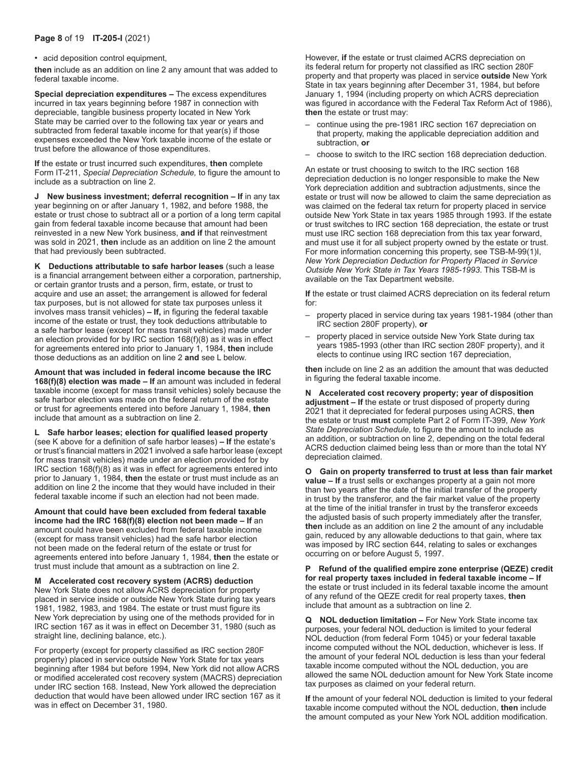### **Page 8** of 19 **IT-205-I** (2021)

• acid deposition control equipment,

**then** include as an addition on line 2 any amount that was added to federal taxable income.

**Special depreciation expenditures –** The excess expenditures incurred in tax years beginning before 1987 in connection with depreciable, tangible business property located in New York State may be carried over to the following tax year or years and subtracted from federal taxable income for that year(s) if those expenses exceeded the New York taxable income of the estate or trust before the allowance of those expenditures.

**If** the estate or trust incurred such expenditures, **then** complete Form IT-211, *Special Depreciation Schedule,* to figure the amount to include as a subtraction on line 2.

**J New business investment; deferral recognition – If in any tax** year beginning on or after January 1, 1982, and before 1988, the estate or trust chose to subtract all or a portion of a long term capital gain from federal taxable income because that amount had been reinvested in a new New York business, **and if** that reinvestment was sold in 2021, **then** include as an addition on line 2 the amount that had previously been subtracted.

**K Deductions attributable to safe harbor leases** (such a lease is a financial arrangement between either a corporation, partnership, or certain grantor trusts and a person, firm, estate, or trust to acquire and use an asset; the arrangement is allowed for federal tax purposes, but is not allowed for state tax purposes unless it involves mass transit vehicles) **– If,** in figuring the federal taxable income of the estate or trust, they took deductions attributable to a safe harbor lease (except for mass transit vehicles) made under an election provided for by IRC section 168(f)(8) as it was in effect for agreements entered into prior to January 1, 1984, **then** include those deductions as an addition on line 2 **and** see L below.

**Amount that was included in federal income because the IRC 168(f)(8) election was made – If** an amount was included in federal taxable income (except for mass transit vehicles) solely because the safe harbor election was made on the federal return of the estate or trust for agreements entered into before January 1, 1984, **then** include that amount as a subtraction on line 2.

**L Safe harbor leases; election for qualified leased property**  (see K above for a definition of safe harbor leases) **– If** the estate's or trust's financial matters in 2021 involved a safe harbor lease (except for mass transit vehicles) made under an election provided for by IRC section 168(f)(8) as it was in effect for agreements entered into prior to January 1, 1984, **then** the estate or trust must include as an addition on line 2 the income that they would have included in their federal taxable income if such an election had not been made.

**Amount that could have been excluded from federal taxable income had the IRC 168(f)(8) election not been made – If** an amount could have been excluded from federal taxable income (except for mass transit vehicles) had the safe harbor election not been made on the federal return of the estate or trust for agreements entered into before January 1, 1984, **then** the estate or trust must include that amount as a subtraction on line 2.

**M Accelerated cost recovery system (ACRS) deduction**  New York State does not allow ACRS depreciation for property placed in service inside or outside New York State during tax years 1981, 1982, 1983, and 1984. The estate or trust must figure its New York depreciation by using one of the methods provided for in IRC section 167 as it was in effect on December 31, 1980 (such as straight line, declining balance, etc.).

For property (except for property classified as IRC section 280F property) placed in service outside New York State for tax years beginning after 1984 but before 1994, New York did not allow ACRS or modified accelerated cost recovery system (MACRS) depreciation under IRC section 168. Instead, New York allowed the depreciation deduction that would have been allowed under IRC section 167 as it was in effect on December 31, 1980.

However, **if** the estate or trust claimed ACRS depreciation on its federal return for property not classified as IRC section 280F property and that property was placed in service **outside** New York State in tax years beginning after December 31, 1984, but before January 1, 1994 (including property on which ACRS depreciation was figured in accordance with the Federal Tax Reform Act of 1986), **then** the estate or trust may:

- continue using the pre-1981 IRC section 167 depreciation on that property, making the applicable depreciation addition and subtraction, **or**
- choose to switch to the IRC section 168 depreciation deduction.

An estate or trust choosing to switch to the IRC section 168 depreciation deduction is no longer responsible to make the New York depreciation addition and subtraction adjustments, since the estate or trust will now be allowed to claim the same depreciation as was claimed on the federal tax return for property placed in service outside New York State in tax years 1985 through 1993. If the estate or trust switches to IRC section 168 depreciation, the estate or trust must use IRC section 168 depreciation from this tax year forward, and must use it for all subject property owned by the estate or trust. For more information concerning this property, see TSB-M-99(1)I, *New York Depreciation Deduction for Property Placed in Service Outside New York State in Tax Years 1985-1993*. This TSB-M is available on the Tax Department website.

**If** the estate or trust claimed ACRS depreciation on its federal return for:

- property placed in service during tax years 1981-1984 (other than IRC section 280F property), **or**
- property placed in service outside New York State during tax years 1985-1993 (other than IRC section 280F property), and it elects to continue using IRC section 167 depreciation,

**then** include on line 2 as an addition the amount that was deducted in figuring the federal taxable income.

**N Accelerated cost recovery property; year of disposition adjustment – If** the estate or trust disposed of property during 2021 that it depreciated for federal purposes using ACRS, **then** the estate or trust **must** complete Part 2 of Form IT‑399, *New York State Depreciation Schedule*, to figure the amount to include as an addition, or subtraction on line 2, depending on the total federal ACRS deduction claimed being less than or more than the total NY depreciation claimed.

**O Gain on property transferred to trust at less than fair market value – If** a trust sells or exchanges property at a gain not more than two years after the date of the initial transfer of the property in trust by the transferor, and the fair market value of the property at the time of the initial transfer in trust by the transferor exceeds the adjusted basis of such property immediately after the transfer, **then** include as an addition on line 2 the amount of any includable gain, reduced by any allowable deductions to that gain, where tax was imposed by IRC section 644, relating to sales or exchanges occurring on or before August 5, 1997.

**P Refund of the qualified empire zone enterprise (QEZE) credit for real property taxes included in federal taxable income – If** the estate or trust included in its federal taxable income the amount of any refund of the QEZE credit for real property taxes, **then** include that amount as a subtraction on line 2.

**Q NOL deduction limitation –** For New York State income tax purposes, your federal NOL deduction is limited to your federal NOL deduction (from federal Form 1045) or your federal taxable income computed without the NOL deduction, whichever is less. If the amount of your federal NOL deduction is less than your federal taxable income computed without the NOL deduction, you are allowed the same NOL deduction amount for New York State income tax purposes as claimed on your federal return.

**If** the amount of your federal NOL deduction is limited to your federal taxable income computed without the NOL deduction, **then** include the amount computed as your New York NOL addition modification.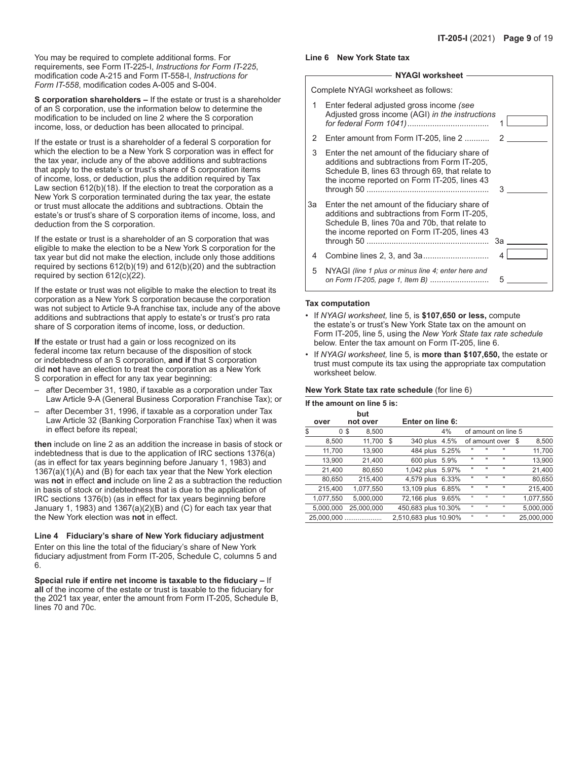You may be required to complete additional forms. For requirements, see Form IT-225-I, *Instructions for Form IT-225*, modification code A-215 and Form IT-558-I, *Instructions for Form IT-558*, modification codes A-005 and S-004.

**S corporation shareholders –** If the estate or trust is a shareholder of an S corporation, use the information below to determine the modification to be included on line 2 where the S corporation income, loss, or deduction has been allocated to principal.

If the estate or trust is a shareholder of a federal S corporation for which the election to be a New York S corporation was in effect for the tax year, include any of the above additions and subtractions that apply to the estate's or trust's share of S corporation items of income, loss, or deduction, plus the addition required by Tax Law section 612(b)(18). If the election to treat the corporation as a New York S corporation terminated during the tax year, the estate or trust must allocate the additions and subtractions. Obtain the estate's or trust's share of S corporation items of income, loss, and deduction from the S corporation.

If the estate or trust is a shareholder of an S corporation that was eligible to make the election to be a New York S corporation for the tax year but did not make the election, include only those additions required by sections 612(b)(19) and 612(b)(20) and the subtraction required by section 612(c)(22).

If the estate or trust was not eligible to make the election to treat its corporation as a New York S corporation because the corporation was not subject to Article 9-A franchise tax, include any of the above additions and subtractions that apply to estate's or trust's pro rata share of S corporation items of income, loss, or deduction.

**If** the estate or trust had a gain or loss recognized on its federal income tax return because of the disposition of stock or indebtedness of an S corporation, **and if** that S corporation did **not** have an election to treat the corporation as a New York S corporation in effect for any tax year beginning:

- after December 31, 1980, if taxable as a corporation under Tax Law Article 9‑A (General Business Corporation Franchise Tax); or
- after December 31, 1996, if taxable as a corporation under Tax Law Article 32 (Banking Corporation Franchise Tax) when it was in effect before its repeal;

**then** include on line 2 as an addition the increase in basis of stock or indebtedness that is due to the application of IRC sections 1376(a) (as in effect for tax years beginning before January 1, 1983) and 1367(a)(1)(A) and (B) for each tax year that the New York election was **not** in effect **and** include on line 2 as a subtraction the reduction in basis of stock or indebtedness that is due to the application of IRC sections 1376(b) (as in effect for tax years beginning before January 1, 1983) and 1367(a)(2)(B) and (C) for each tax year that the New York election was **not** in effect.

#### **Line 4 Fiduciary's share of New York fiduciary adjustment**

Enter on this line the total of the fiduciary's share of New York fiduciary adjustment from Form IT-205, Schedule C, columns 5 and 6.

**Special rule if entire net income is taxable to the fiduciary –** If **all** of the income of the estate or trust is taxable to the fiduciary for the 2021 tax year, enter the amount from Form IT-205, Schedule B, lines 70 and 70c.

|  | Line 6 New York State tax |  |
|--|---------------------------|--|
|--|---------------------------|--|

### **NYAGI worksheet**

Complete NYAGI worksheet as follows:

- 1 Enter federal adjusted gross income *(see* Adjusted gross income (AGI) *in the instructions for federal Form 1041)*.................................... 1
- 2 Enter amount from Form IT-205, line 2 ........... 2
- 3 Enter the net amount of the fiduciary share of additions and subtractions from Form IT-205, Schedule B, lines 63 through 69, that relate to the income reported on Form IT-205, lines 43 through 50 ...................................................... 3
- 3a Enter the net amount of the fiduciary share of additions and subtractions from Form IT-205, Schedule B, lines 70a and 70b, that relate to the income reported on Form IT-205, lines 43 through 50 ...................................................... 3a 4 Combine lines 2, 3, and 3a............................. 4
- 5 NYAGI *(line 1 plus or minus line 4; enter here and on Form IT-205, page 1, Item B)* .......................... 5

#### **Tax computation**

- If *NYAGI worksheet,* line 5, is **\$107,650 or less,** compute the estate's or trust's New York State tax on the amount on Form IT-205, line 5, using the *New York State tax rate schedule* below. Enter the tax amount on Form IT-205, line 6.
- If *NYAGI worksheet,* line 5, is **more than \$107,650,** the estate or trust must compute its tax using the appropriate tax computation worksheet below.

#### **New York State tax rate schedule** (for line 6)

| If the amount on line 5 is: |                 |    |                       |    |                            |                            |                            |      |            |
|-----------------------------|-----------------|----|-----------------------|----|----------------------------|----------------------------|----------------------------|------|------------|
| over                        | but<br>not over |    | Enter on line 6:      |    |                            |                            |                            |      |            |
| \$<br>0 <sup>3</sup>        | 8,500           |    |                       | 4% |                            | of amount on line 5        |                            |      |            |
| 8,500                       | 11,700          | \$ | 340 plus 4.5%         |    |                            | of amount over             |                            | - \$ | 8,500      |
| 11,700                      | 13.900          |    | 484 plus 5.25%        |    |                            | $\blacksquare$             | $\mathbf{u}$               |      | 11,700     |
| 13,900                      | 21.400          |    | 600 plus 5.9%         |    |                            | $\mathbf{u}$               | $\mathbf{u}$               |      | 13,900     |
| 21,400                      | 80,650          |    | 1,042 plus 5.97%      |    | $\mathbf{H}$               | $\mathbf{u}$               | $\mathbf{H}$               |      | 21,400     |
| 80,650                      | 215,400         |    | 4,579 plus 6.33%      |    | $\mathbf{H}$               | $\mathbf{u}$               | $\mathbf{u}$               |      | 80,650     |
| 215,400                     | 1.077.550       |    | 13,109 plus 6.85%     |    | $\mathbf{H}$               | $\mathbf{u}$               | $\mathbf{u}$               |      | 215,400    |
| 1,077,550                   | 5,000,000       |    | 72,166 plus 9.65%     |    | $\mathfrak{c}\mathfrak{c}$ | $\mathfrak{c}\mathfrak{c}$ | $\mathfrak{c}\mathfrak{c}$ |      | 1,077,550  |
| 5.000.000                   | 25.000.000      |    | 450,683 plus 10.30%   |    | $\mathfrak{c}$             | $\alpha$                   | $\mathfrak{c}$             |      | 5,000,000  |
| 25.000.000                  |                 |    | 2,510,683 plus 10.90% |    | $\mathfrak{c}$             | $\mathfrak{c}\mathfrak{c}$ | $\mathfrak{c}\mathfrak{c}$ |      | 25.000.000 |
|                             |                 |    |                       |    |                            |                            |                            |      |            |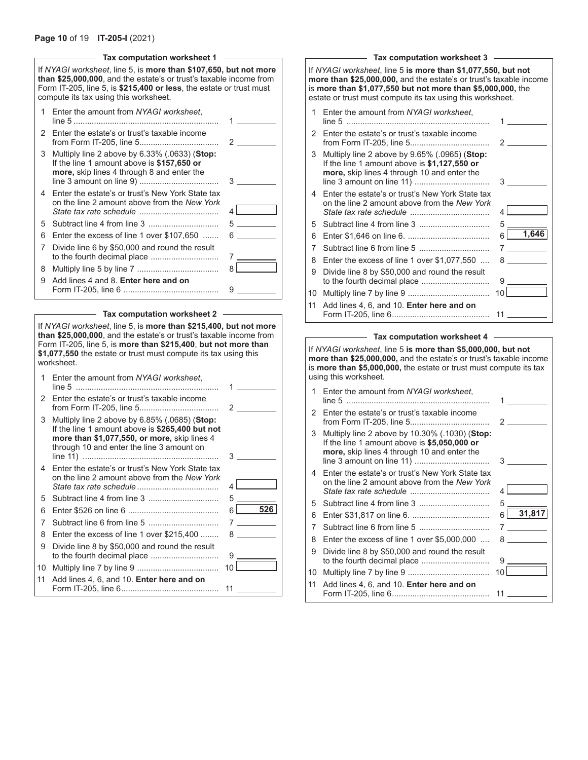### **Page 10** of 19 **IT-205-I** (2021)

|    | Tax computation worksheet 1                                                                                                                                                                                                                            |                     |
|----|--------------------------------------------------------------------------------------------------------------------------------------------------------------------------------------------------------------------------------------------------------|---------------------|
|    | If NYAGI worksheet, line 5, is more than \$107,650, but not more<br>than \$25,000,000, and the estate's or trust's taxable income from<br>Form IT-205, line 5, is \$215,400 or less, the estate or trust must<br>compute its tax using this worksheet. |                     |
| 1  | Enter the amount from NYAGI worksheet.                                                                                                                                                                                                                 |                     |
|    | 2 Enter the estate's or trust's taxable income                                                                                                                                                                                                         | 2                   |
| 3  | Multiply line 2 above by $6.33\%$ (.0633) (Stop:<br>If the line 1 amount above is \$157,650 or<br>more, skip lines 4 through 8 and enter the                                                                                                           | 3                   |
| 4  | Enter the estate's or trust's New York State tax<br>on the line 2 amount above from the New York                                                                                                                                                       | 4                   |
| 5. |                                                                                                                                                                                                                                                        | $5^{\circ}$         |
| 6  | Enter the excess of line 1 over \$107,650                                                                                                                                                                                                              | $6 \quad \text{or}$ |
| 7  | Divide line 6 by \$50,000 and round the result                                                                                                                                                                                                         | 7                   |
| 8  |                                                                                                                                                                                                                                                        | 8                   |
| 9  | Add lines 4 and 8. Enter here and on                                                                                                                                                                                                                   | 9                   |

|    | Tax computation worksheet 2                                                                                                                                                                                                                                                               |    |                                   |  |  |  |  |  |
|----|-------------------------------------------------------------------------------------------------------------------------------------------------------------------------------------------------------------------------------------------------------------------------------------------|----|-----------------------------------|--|--|--|--|--|
|    | If NYAGI worksheet, line 5, is more than \$215,400, but not more<br>than \$25,000,000, and the estate's or trust's taxable income from<br>Form IT-205, line 5, is more than \$215,400, but not more than<br>\$1,077,550 the estate or trust must compute its tax using this<br>worksheet. |    |                                   |  |  |  |  |  |
| 1  | Enter the amount from NYAGI worksheet.                                                                                                                                                                                                                                                    |    |                                   |  |  |  |  |  |
| 2  | Enter the estate's or trust's taxable income                                                                                                                                                                                                                                              |    | $\overline{2}$ and $\overline{2}$ |  |  |  |  |  |
| 3  | Multiply line 2 above by $6.85\%$ (.0685) (Stop:<br>If the line 1 amount above is \$265,400 but not<br>more than \$1,077,550, or more, skip lines 4<br>through 10 and enter the line 3 amount on                                                                                          | 3  |                                   |  |  |  |  |  |
| 4  | Enter the estate's or trust's New York State tax<br>on the line 2 amount above from the New York                                                                                                                                                                                          | 4  |                                   |  |  |  |  |  |
| 5  |                                                                                                                                                                                                                                                                                           | 5  |                                   |  |  |  |  |  |
| 6  |                                                                                                                                                                                                                                                                                           |    | $6$ 526                           |  |  |  |  |  |
| 7  |                                                                                                                                                                                                                                                                                           |    |                                   |  |  |  |  |  |
| 8  | Enter the excess of line 1 over \$215,400                                                                                                                                                                                                                                                 |    |                                   |  |  |  |  |  |
| 9  | Divide line 8 by \$50,000 and round the result<br>to the fourth decimal place                                                                                                                                                                                                             | 9  |                                   |  |  |  |  |  |
| 10 |                                                                                                                                                                                                                                                                                           | 10 |                                   |  |  |  |  |  |
| 11 | Add lines 4, 6, and 10. Enter here and on                                                                                                                                                                                                                                                 | 11 |                                   |  |  |  |  |  |

|                                                                                                                                                                                                                                                                 | Tax computation worksheet 3                                                                                                                   |                  |  |  |  |  |  |  |  |
|-----------------------------------------------------------------------------------------------------------------------------------------------------------------------------------------------------------------------------------------------------------------|-----------------------------------------------------------------------------------------------------------------------------------------------|------------------|--|--|--|--|--|--|--|
| If NYAGI worksheet, line 5 is more than \$1,077,550, but not<br>more than \$25,000,000, and the estate's or trust's taxable income<br>is more than \$1,077,550 but not more than \$5,000,000, the<br>estate or trust must compute its tax using this worksheet. |                                                                                                                                               |                  |  |  |  |  |  |  |  |
| 1                                                                                                                                                                                                                                                               | Enter the amount from NYAGI worksheet,                                                                                                        |                  |  |  |  |  |  |  |  |
| 2                                                                                                                                                                                                                                                               | Enter the estate's or trust's taxable income                                                                                                  | $\mathcal{P}$    |  |  |  |  |  |  |  |
| 3                                                                                                                                                                                                                                                               | Multiply line 2 above by 9.65% (.0965) (Stop:<br>If the line 1 amount above is $$1,127,550$ or<br>more, skip lines 4 through 10 and enter the | 3                |  |  |  |  |  |  |  |
| 4                                                                                                                                                                                                                                                               | Enter the estate's or trust's New York State tax<br>on the line 2 amount above from the New York                                              | 4                |  |  |  |  |  |  |  |
| 5                                                                                                                                                                                                                                                               |                                                                                                                                               | 5                |  |  |  |  |  |  |  |
| 6                                                                                                                                                                                                                                                               |                                                                                                                                               | 1,646<br>6       |  |  |  |  |  |  |  |
| 7                                                                                                                                                                                                                                                               |                                                                                                                                               | $7$ and $7$      |  |  |  |  |  |  |  |
| 8                                                                                                                                                                                                                                                               | Enter the excess of line 1 over $$1,077,550$                                                                                                  | $8 \overline{)}$ |  |  |  |  |  |  |  |
| 9                                                                                                                                                                                                                                                               | Divide line 8 by \$50,000 and round the result                                                                                                | 9                |  |  |  |  |  |  |  |
| 10                                                                                                                                                                                                                                                              |                                                                                                                                               | 10 <sup>1</sup>  |  |  |  |  |  |  |  |
| 11                                                                                                                                                                                                                                                              | Add lines 4, 6, and 10. Enter here and on                                                                                                     |                  |  |  |  |  |  |  |  |

#### **Tax computation worksheet 4**

Form IT-205, line 6........................................... 11

If *NYAGI worksheet*, line 5 **is more than \$5,000,000, but not more than \$25,000,000,** and the estate's or trust's taxable income is **more than \$5,000,000,** the estate or trust must compute its tax using this worksheet.

| 1  | Enter the amount from NYAGI worksheet.                                                                                                        |             |
|----|-----------------------------------------------------------------------------------------------------------------------------------------------|-------------|
| 2  | Enter the estate's or trust's taxable income                                                                                                  | 2           |
| 3  | Multiply line 2 above by 10.30% (.1030) (Stop:<br>If the line 1 amount above is \$5,050,000 or<br>more, skip lines 4 through 10 and enter the | 3           |
| 4  | Enter the estate's or trust's New York State tax<br>on the line 2 amount above from the New York                                              | 4           |
| 5  |                                                                                                                                               | 5           |
| 6  |                                                                                                                                               | 31,817<br>6 |
| 7  |                                                                                                                                               | 7           |
| 8  | Enter the excess of line 1 over $$5,000,000$                                                                                                  | 8 - 10      |
| 9  | Divide line 8 by \$50,000 and round the result                                                                                                | 9           |
| 10 |                                                                                                                                               | 10          |
| 11 | Add lines 4, 6, and 10. Enter here and on                                                                                                     | 11          |
|    |                                                                                                                                               |             |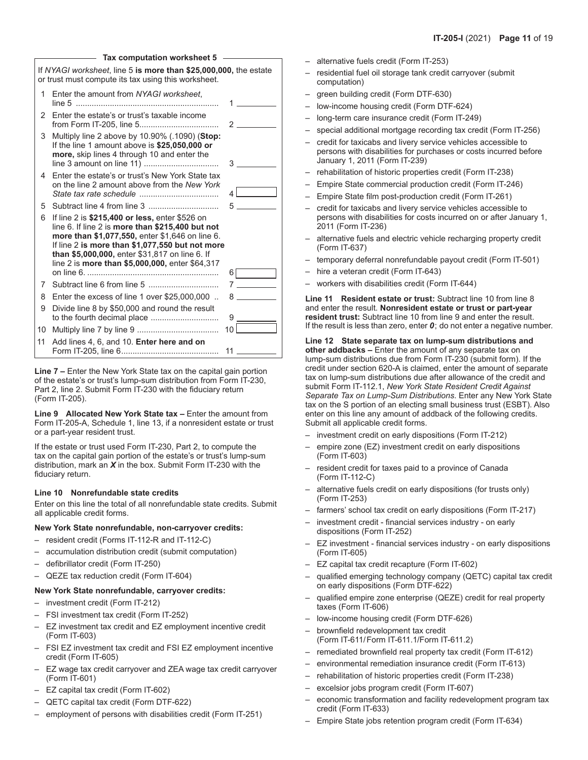|    | Tax computation worksheet 5                                                                                                                                                                                                                                                                                   |                |                                   |
|----|---------------------------------------------------------------------------------------------------------------------------------------------------------------------------------------------------------------------------------------------------------------------------------------------------------------|----------------|-----------------------------------|
|    | If NYAGI worksheet, line 5 is more than \$25,000,000, the estate<br>or trust must compute its tax using this worksheet.                                                                                                                                                                                       |                |                                   |
| 1  | Enter the amount from NYAGI worksheet.                                                                                                                                                                                                                                                                        | 1              |                                   |
| 2  | Enter the estate's or trust's taxable income                                                                                                                                                                                                                                                                  |                | $\overline{2}$ and $\overline{2}$ |
| 3  | Multiply line 2 above by 10.90% (.1090) (Stop:<br>If the line 1 amount above is \$25,050,000 or<br>more, skip lines 4 through 10 and enter the                                                                                                                                                                |                | $3^{\circ}$                       |
| 4  | Enter the estate's or trust's New York State tax<br>on the line 2 amount above from the New York                                                                                                                                                                                                              | $\overline{4}$ |                                   |
| 5  |                                                                                                                                                                                                                                                                                                               | 5              |                                   |
| 6  | If line 2 is \$215,400 or less, enter \$526 on<br>line 6. If line 2 is more than \$215,400 but not<br>more than \$1,077,550, enter \$1,646 on line 6.<br>If line 2 is more than \$1,077,550 but not more<br>than \$5,000,000, enter \$31,817 on line 6. If<br>line 2 is more than \$5,000,000, enter \$64,317 |                |                                   |
|    |                                                                                                                                                                                                                                                                                                               |                | $6 \mid$                          |
| 7  |                                                                                                                                                                                                                                                                                                               |                | $7$ and $7$                       |
| 8  | Enter the excess of line 1 over \$25,000,000                                                                                                                                                                                                                                                                  |                | 8 — 1                             |
| 9  | Divide line 8 by \$50,000 and round the result                                                                                                                                                                                                                                                                | 9.             |                                   |
| 10 |                                                                                                                                                                                                                                                                                                               | 10             |                                   |
| 11 | Add lines 4, 6, and 10. Enter here and on                                                                                                                                                                                                                                                                     | 11             |                                   |

**Line 7 –** Enter the New York State tax on the capital gain portion of the estate's or trust's lump-sum distribution from Form IT‑230, Part 2, line 2. Submit Form IT‑230 with the fiduciary return (Form IT‑205).

**Line 9 Allocated New York State tax –** Enter the amount from Form IT‑205‑A, Schedule 1, line 13, if a nonresident estate or trust or a part-year resident trust.

If the estate or trust used Form IT‑230, Part 2, to compute the tax on the capital gain portion of the estate's or trust's lump-sum distribution, mark an *X* in the box. Submit Form IT-230 with the fiduciary return.

#### **Line 10 Nonrefundable state credits**

Enter on this line the total of all nonrefundable state credits. Submit all applicable credit forms.

#### **New York State nonrefundable, non-carryover credits:**

- resident credit (Forms IT-112-R and IT-112-C)
- accumulation distribution credit (submit computation)
- defibrillator credit (Form IT-250)
- QEZE tax reduction credit (Form IT-604)

#### **New York State nonrefundable, carryover credits:**

- investment credit (Form IT-212)
- FSI investment tax credit (Form IT-252)
- EZ investment tax credit and EZ employment incentive credit (Form IT-603)
- FSI EZ investment tax credit and FSI EZ employment incentive credit (Form IT-605)
- EZ wage tax credit carryover and ZEA wage tax credit carryover (Form IT-601)
- EZ capital tax credit (Form IT‑602)
- QETC capital tax credit (Form DTF-622)
- employment of persons with disabilities credit (Form IT-251)
- alternative fuels credit (Form IT-253)
- residential fuel oil storage tank credit carryover (submit computation)
- green building credit (Form DTF-630)
- low-income housing credit (Form DTF-624)
- long-term care insurance credit (Form IT-249)
- special additional mortgage recording tax credit (Form IT-256)
- credit for taxicabs and livery service vehicles accessible to persons with disabilities for purchases or costs incurred before January 1, 2011 (Form IT-239)
- rehabilitation of historic properties credit (Form IT-238)
- Empire State commercial production credit (Form IT-246)
- Empire State film post-production credit (Form IT-261)
- credit for taxicabs and livery service vehicles accessible to persons with disabilities for costs incurred on or after January 1, 2011 (Form IT-236)
- alternative fuels and electric vehicle recharging property credit (Form IT-637)
- temporary deferral nonrefundable payout credit (Form IT-501)
- hire a veteran credit (Form IT-643)
- workers with disabilities credit (Form IT-644)

**Line 11 Resident estate or trust:** Subtract line 10 from line 8 and enter the result. **Nonresident estate or trust or part-year resident trust:** Subtract line 10 from line 9 and enter the result. If the result is less than zero, enter *0*; do not enter a negative number.

**Line 12 State separate tax on lump-sum distributions and other addbacks –** Enter the amount of any separate tax on lump-sum distributions due from Form IT‑230 (submit form). If the credit under section 620‑A is claimed, enter the amount of separate tax on lump-sum distributions due after allowance of the credit and submit Form IT-112.1, *New York State Resident Credit Against Separate Tax on Lump-Sum Distributions*. Enter any New York State tax on the S portion of an electing small business trust (ESBT). Also enter on this line any amount of addback of the following credits. Submit all applicable credit forms.

- investment credit on early dispositions (Form IT-212)
- empire zone (EZ) investment credit on early dispositions (Form IT-603)
- resident credit for taxes paid to a province of Canada (Form IT-112-C)
- alternative fuels credit on early dispositions (for trusts only) (Form IT-253)
- farmers' school tax credit on early dispositions (Form IT-217)
- investment credit financial services industry on early dispositions (Form IT-252)
- EZ investment financial services industry on early dispositions (Form IT-605)
- EZ capital tax credit recapture (Form IT-602)
- qualified emerging technology company (QETC) capital tax credit on early dispositions (Form DTF-622)
- qualified empire zone enterprise (QEZE) credit for real property taxes (Form IT-606)
- low-income housing credit (Form DTF-626)
- brownfield redevelopment tax credit (Form IT-611/Form IT-611.1/Form IT-611.2)
- remediated brownfield real property tax credit (Form IT-612)
- environmental remediation insurance credit (Form IT-613)
- rehabilitation of historic properties credit (Form IT-238)
- excelsior jobs program credit (Form IT-607)
- economic transformation and facility redevelopment program tax credit (Form IT-633)
- Empire State jobs retention program credit (Form IT-634)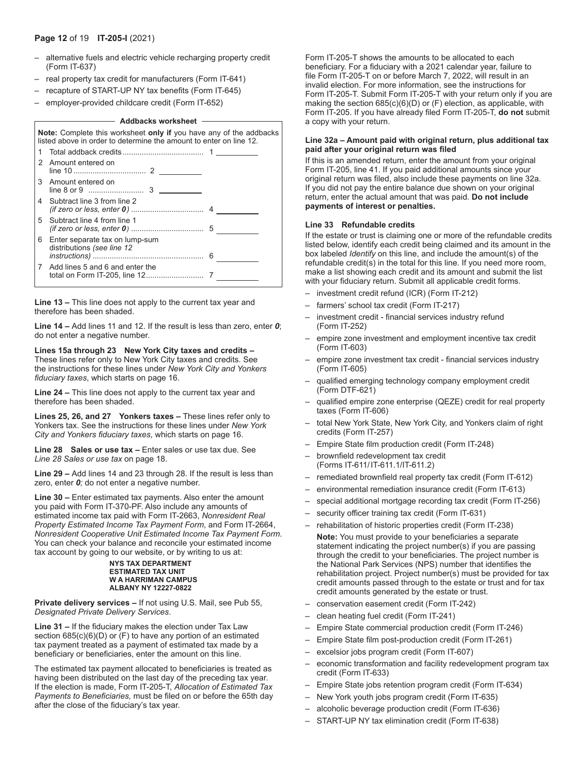- alternative fuels and electric vehicle recharging property credit (Form IT-637)
- real property tax credit for manufacturers (Form IT-641)
- recapture of START-UP NY tax benefits (Form IT-645)
- employer-provided childcare credit (Form IT-652)

#### **Addbacks worksheet**

|   | <b>Note:</b> Complete this worksheet only if you have any of the addbacks<br>listed above in order to determine the amount to enter on line 12. |  |
|---|-------------------------------------------------------------------------------------------------------------------------------------------------|--|
|   |                                                                                                                                                 |  |
| 2 | Amount entered on                                                                                                                               |  |
| 3 | Amount entered on                                                                                                                               |  |
| 4 | Subtract line 3 from line 2                                                                                                                     |  |
| 5 | Subtract line 4 from line 1                                                                                                                     |  |
| 6 | Enter separate tax on lump-sum<br>distributions (see line 12                                                                                    |  |
| 7 | Add lines 5 and 6 and enter the                                                                                                                 |  |

**Line 13 –** This line does not apply to the current tax year and therefore has been shaded.

**Line 14 –** Add lines 11 and 12. If the result is less than zero, enter *0*; do not enter a negative number.

#### **Lines 15a through 23 New York City taxes and credits –** These lines refer only to New York City taxes and credits. See the instructions for these lines under *New York City and Yonkers fiduciary taxes*, which starts on page 16.

**Line 24 –** This line does not apply to the current tax year and therefore has been shaded.

**Lines 25, 26, and 27 Yonkers taxes –** These lines refer only to Yonkers tax. See the instructions for these lines under *New York City and Yonkers fiduciary taxes*, which starts on page 16.

**Line 28 Sales or use tax –** Enter sales or use tax due. See *Line 28 Sales or use tax* on page 18.

**Line 29 –** Add lines 14 and 23 through 28. If the result is less than zero, enter *0;* do not enter a negative number.

**Line 30 –** Enter estimated tax payments. Also enter the amount you paid with Form IT‑370‑PF. Also include any amounts of estimated income tax paid with Form IT-2663, *Nonresident Real Property Estimated Income Tax Payment Form*, and Form IT-2664, *Nonresident Cooperative Unit Estimated Income Tax Payment Form.*  You can check your balance and reconcile your estimated income tax account by going to our website, or by writing to us at:

#### **NYS TAX DEPARTMENT ESTIMATED TAX UNIT W A HARRIMAN CAMPUS ALBANY NY 12227-0822**

**Private delivery services –** If not using U.S. Mail, see Pub 55, *Designated Private Delivery Services*.

**Line 31 –** If the fiduciary makes the election under Tax Law section  $685(c)(6)(D)$  or  $(F)$  to have any portion of an estimated tax payment treated as a payment of estimated tax made by a beneficiary or beneficiaries, enter the amount on this line.

The estimated tax payment allocated to beneficiaries is treated as having been distributed on the last day of the preceding tax year. If the election is made, Form IT-205-T, *Allocation of Estimated Tax Payments to Beneficiaries,* must be filed on or before the 65th day after the close of the fiduciary's tax year.

Form IT-205-T shows the amounts to be allocated to each beneficiary. For a fiduciary with a 2021 calendar year, failure to file Form IT-205-T on or before March 7, 2022, will result in an invalid election. For more information, see the instructions for Form IT‑205‑T. Submit Form IT‑205‑T with your return only if you are making the section 685(c)(6)(D) or (F) election, as applicable, with Form IT‑205. If you have already filed Form IT‑205‑T, **do not** submit a copy with your return.

#### **Line 32a – Amount paid with original return, plus additional tax paid after your original return was filed**

If this is an amended return, enter the amount from your original Form IT-205, line 41. If you paid additional amounts since your original return was filed, also include these payments on line 32a. If you did not pay the entire balance due shown on your original return, enter the actual amount that was paid. **Do not include payments of interest or penalties.**

#### **Line 33 Refundable credits**

If the estate or trust is claiming one or more of the refundable credits listed below, identify each credit being claimed and its amount in the box labeled *Identify* on this line, and include the amount(s) of the refundable credit(s) in the total for this line. If you need more room, make a list showing each credit and its amount and submit the list with your fiduciary return. Submit all applicable credit forms.

- investment credit refund (ICR) (Form IT‑212)
- farmers' school tax credit (Form IT-217)
- investment credit financial services industry refund (Form IT‑252)
- empire zone investment and employment incentive tax credit (Form IT-603)
- empire zone investment tax credit financial services industry (Form IT‑605)
- qualified emerging technology company employment credit (Form DTF-621)
- qualified empire zone enterprise (QEZE) credit for real property taxes (Form IT‑606)
- total New York State, New York City, and Yonkers claim of right credits (Form IT‑257)
- Empire State film production credit (Form IT-248)
- brownfield redevelopment tax credit (Forms IT-611/IT-611.1/IT-611.2)
- remediated brownfield real property tax credit (Form IT-612)
- environmental remediation insurance credit (Form IT-613)
- special additional mortgage recording tax credit (Form IT-256)
- security officer training tax credit (Form IT-631)
- rehabilitation of historic properties credit (Form IT-238) **Note:** You must provide to your beneficiaries a separate statement indicating the project number(s) if you are passing through the credit to your beneficiaries. The project number is the National Park Services (NPS) number that identifies the rehabilitation project. Project number(s) must be provided for tax credit amounts passed through to the estate or trust and for tax
- credit amounts generated by the estate or trust. – conservation easement credit (Form IT-242)
- clean heating fuel credit (Form IT-241)
- Empire State commercial production credit (Form IT-246)
- Empire State film post-production credit (Form IT-261)
- excelsior jobs program credit (Form IT-607)
- economic transformation and facility redevelopment program tax credit (Form IT-633)
- Empire State jobs retention program credit (Form IT-634)
- New York youth jobs program credit (Form IT-635)
- alcoholic beverage production credit (Form IT-636)
- START-UP NY tax elimination credit (Form IT-638)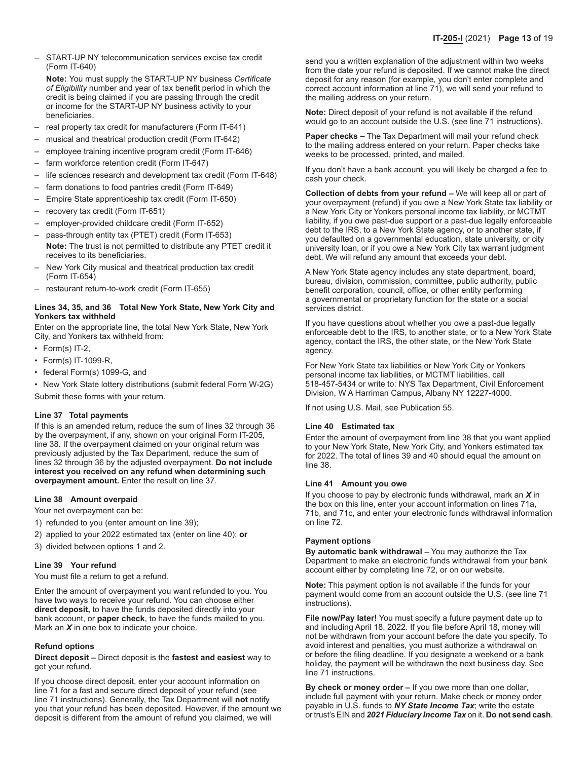– START-UP NY telecommunication services excise tax credit (Form IT-640)

**Note:** You must supply the START-UP NY business *Certificate of Eligibility* number and year of tax benefit period in which the credit is being claimed if you are passing through the credit or income for the START-UP NY business activity to your beneficiaries.

- real property tax credit for manufacturers (Form IT-641)
- musical and theatrical production credit (Form IT-642)
- employee training incentive program credit (Form IT-646)
- farm workforce retention credit (Form IT-647)
- life sciences research and development tax credit (Form IT-648)
- farm donations to food pantries credit (Form IT-649)
- Empire State apprenticeship tax credit (Form IT-650)
- recovery tax credit (Form IT-651)
- employer-provided childcare credit (Form IT-652)
- pass-through entity tax (PTET) credit (Form IT-653) **Note:** The trust is not permitted to distribute any PTET credit it receives to its beneficiaries.
- New York City musical and theatrical production tax credit (Form IT-654)
- restaurant return-to-work credit (Form IT-655)

### **Lines 34, 35, and 36 Total New York State, New York City and Yonkers tax withheld**

Enter on the appropriate line, the total New York State, New York City, and Yonkers tax withheld from:

- Form(s) IT-2,
- Form(s) IT-1099-R,
- federal Form(s) 1099-G, and
- New York State lottery distributions (submit federal Form W-2G)

Submit these forms with your return.

#### **Line 37 Total payments**

If this is an amended return, reduce the sum of lines 32 through 36 by the overpayment, if any, shown on your original Form IT-205, line 38. If the overpayment claimed on your original return was previously adjusted by the Tax Department, reduce the sum of lines 32 through 36 by the adjusted overpayment. **Do not include interest you received on any refund when determining such overpayment amount.** Enter the result on line 37.

#### **Line 38 Amount overpaid**

Your net overpayment can be:

- 1) refunded to you (enter amount on line 39);
- 2) applied to your 2022 estimated tax (enter on line 40); **or**
- 3) divided between options 1 and 2.

#### **Line 39 Your refund**

You must file a return to get a refund.

Enter the amount of overpayment you want refunded to you. You have two ways to receive your refund. You can choose either **direct deposit,** to have the funds deposited directly into your bank account, or **paper check**, to have the funds mailed to you. Mark an *X* in one box to indicate your choice.

#### **Refund options**

**Direct deposit –** Direct deposit is the **fastest and easiest** way to get your refund.

If you choose direct deposit, enter your account information on line 71 for a fast and secure direct deposit of your refund (see line 71 instructions). Generally, the Tax Department will **not** notify you that your refund has been deposited. However, if the amount we deposit is different from the amount of refund you claimed, we will

send you a written explanation of the adjustment within two weeks from the date your refund is deposited. If we cannot make the direct deposit for any reason (for example, you don't enter complete and correct account information at line 71), we will send your refund to the mailing address on your return.

**Note:** Direct deposit of your refund is not available if the refund would go to an account outside the U.S. (see line 71 instructions).

**Paper checks –** The Tax Department will mail your refund check to the mailing address entered on your return. Paper checks take weeks to be processed, printed, and mailed.

If you don't have a bank account, you will likely be charged a fee to cash your check.

**Collection of debts from your refund –** We will keep all or part of your overpayment (refund) if you owe a New York State tax liability or a New York City or Yonkers personal income tax liability, or MCTMT liability, if you owe past-due support or a past-due legally enforceable debt to the IRS, to a New York State agency, or to another state, if you defaulted on a governmental education, state university, or city university loan, or if you owe a New York City tax warrant judgment debt. We will refund any amount that exceeds your debt.

A New York State agency includes any state department, board, bureau, division, commission, committee, public authority, public benefit corporation, council, office, or other entity performing a governmental or proprietary function for the state or a social services district.

If you have questions about whether you owe a past-due legally enforceable debt to the IRS, to another state, or to a New York State agency, contact the IRS, the other state, or the New York State agency.

For New York State tax liabilities or New York City or Yonkers personal income tax liabilities, or MCTMT liabilities, call 518-457-5434 or write to: NYS Tax Department, Civil Enforcement Division, W A Harriman Campus, Albany NY 12227-4000.

If not using U.S. Mail, see Publication 55.

#### **Line 40 Estimated tax**

Enter the amount of overpayment from line 38 that you want applied to your New York State, New York City, and Yonkers estimated tax for 2022. The total of lines 39 and 40 should equal the amount on line 38.

#### **Line 41 Amount you owe**

If you choose to pay by electronic funds withdrawal, mark an *X* in the box on this line, enter your account information on lines 71a, 71b, and 71c, and enter your electronic funds withdrawal information on line 72.

#### **Payment options**

**By automatic bank withdrawal –** You may authorize the Tax Department to make an electronic funds withdrawal from your bank account either by completing line 72, or on our website.

**Note:** This payment option is not available if the funds for your payment would come from an account outside the U.S. (see line 71 instructions).

**File now/Pay later!** You must specify a future payment date up to and including April 18, 2022. If you file before April 18, money will not be withdrawn from your account before the date you specify. To avoid interest and penalties, you must authorize a withdrawal on or before the filing deadline. If you designate a weekend or a bank holiday, the payment will be withdrawn the next business day. See line 71 instructions.

**By check or money order –** If you owe more than one dollar, include full payment with your return. Make check or money order payable in U.S. funds to *NY State Income Tax*; write the estate or trust's EIN and *2021 Fiduciary Income Tax* on it. **Do not send cash**.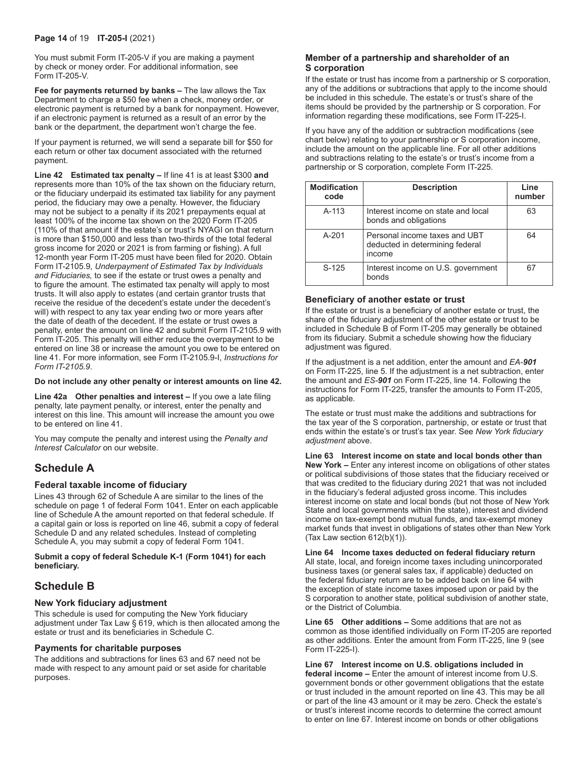You must submit Form IT-205-V if you are making a payment by check or money order. For additional information, see Form IT-205-V.

**Fee for payments returned by banks –** The law allows the Tax Department to charge a \$50 fee when a check, money order, or electronic payment is returned by a bank for nonpayment. However, if an electronic payment is returned as a result of an error by the bank or the department, the department won't charge the fee.

If your payment is returned, we will send a separate bill for \$50 for each return or other tax document associated with the returned payment.

**Line 42 Estimated tax penalty –** If line 41 is at least \$300 **and** represents more than 10% of the tax shown on the fiduciary return, or the fiduciary underpaid its estimated tax liability for any payment period, the fiduciary may owe a penalty. However, the fiduciary may not be subject to a penalty if its 2021 prepayments equal at least 100% of the income tax shown on the 2020 Form IT-205 (110% of that amount if the estate's or trust's NYAGI on that return is more than \$150,000 and less than two-thirds of the total federal gross income for 2020 or 2021 is from farming or fishing). A full 12-month year Form IT-205 must have been filed for 2020. Obtain Form IT-2105.9, *Underpayment of Estimated Tax by Individuals and Fiduciaries,* to see if the estate or trust owes a penalty and to figure the amount. The estimated tax penalty will apply to most trusts. It will also apply to estates (and certain grantor trusts that receive the residue of the decedent's estate under the decedent's will) with respect to any tax year ending two or more years after the date of death of the decedent. If the estate or trust owes a penalty, enter the amount on line 42 and submit Form IT‑2105.9 with Form IT-205. This penalty will either reduce the overpayment to be entered on line 38 or increase the amount you owe to be entered on line 41. For more information, see Form IT‑2105.9-I, *Instructions for Form IT-2105.9*.

#### **Do not include any other penalty or interest amounts on line 42.**

**Line 42a Other penalties and interest –** If you owe a late filing penalty, late payment penalty, or interest, enter the penalty and interest on this line. This amount will increase the amount you owe to be entered on line 41.

You may compute the penalty and interest using the *Penalty and Interest Calculator* on our website.

# **Schedule A**

### **Federal taxable income of fiduciary**

Lines 43 through 62 of Schedule A are similar to the lines of the schedule on page 1 of federal Form 1041. Enter on each applicable line of Schedule A the amount reported on that federal schedule. If a capital gain or loss is reported on line 46, submit a copy of federal Schedule D and any related schedules. Instead of completing Schedule A, you may submit a copy of federal Form 1041.

**Submit a copy of federal Schedule K‑1 (Form 1041) for each beneficiary.**

# **Schedule B**

### **New York fiduciary adjustment**

This schedule is used for computing the New York fiduciary adjustment under Tax Law § 619, which is then allocated among the estate or trust and its beneficiaries in Schedule C.

#### **Payments for charitable purposes**

The additions and subtractions for lines 63 and 67 need not be made with respect to any amount paid or set aside for charitable purposes.

### **Member of a partnership and shareholder of an S corporation**

If the estate or trust has income from a partnership or S corporation, any of the additions or subtractions that apply to the income should be included in this schedule. The estate's or trust's share of the items should be provided by the partnership or S corporation. For information regarding these modifications, see Form IT-225-I.

If you have any of the addition or subtraction modifications (see chart below) relating to your partnership or S corporation income, include the amount on the applicable line. For all other additions and subtractions relating to the estate's or trust's income from a partnership or S corporation, complete Form IT-225.

| <b>Modification</b><br>code | <b>Description</b>                                                         | Line<br>number |
|-----------------------------|----------------------------------------------------------------------------|----------------|
| $A-113$                     | Interest income on state and local<br>bonds and obligations                | 63             |
| $A - 201$                   | Personal income taxes and UBT<br>deducted in determining federal<br>income | 64             |
| $S-125$                     | Interest income on U.S. government<br>honds                                |                |

### **Beneficiary of another estate or trust**

If the estate or trust is a beneficiary of another estate or trust, the share of the fiduciary adjustment of the other estate or trust to be included in Schedule B of Form IT‑205 may generally be obtained from its fiduciary. Submit a schedule showing how the fiduciary adjustment was figured.

If the adjustment is a net addition, enter the amount and *EA-901* on Form IT-225, line 5. If the adjustment is a net subtraction, enter the amount and *ES-901* on Form IT-225, line 14. Following the instructions for Form IT-225, transfer the amounts to Form IT-205, as applicable.

The estate or trust must make the additions and subtractions for the tax year of the S corporation, partnership, or estate or trust that ends within the estate's or trust's tax year. See *New York fiduciary adjustment* above.

**Line 63 Interest income on state and local bonds other than New York –** Enter any interest income on obligations of other states or political subdivisions of those states that the fiduciary received or that was credited to the fiduciary during 2021 that was not included in the fiduciary's federal adjusted gross income. This includes interest income on state and local bonds (but not those of New York State and local governments within the state), interest and dividend income on tax-exempt bond mutual funds, and tax-exempt money market funds that invest in obligations of states other than New York (Tax Law section 612(b)(1)).

**Line 64 Income taxes deducted on federal fiduciary return**  All state, local, and foreign income taxes including unincorporated business taxes (or general sales tax, if applicable) deducted on the federal fiduciary return are to be added back on line 64 with the exception of state income taxes imposed upon or paid by the S corporation to another state, political subdivision of another state, or the District of Columbia.

**Line 65 Other additions –** Some additions that are not as common as those identified individually on Form IT‑205 are reported as other additions. Enter the amount from Form IT-225, line 9 (see Form IT-225-I).

**Line 67 Interest income on U.S. obligations included in federal income –** Enter the amount of interest income from U.S. government bonds or other government obligations that the estate or trust included in the amount reported on line 43. This may be all or part of the line 43 amount or it may be zero. Check the estate's or trust's interest income records to determine the correct amount to enter on line 67. Interest income on bonds or other obligations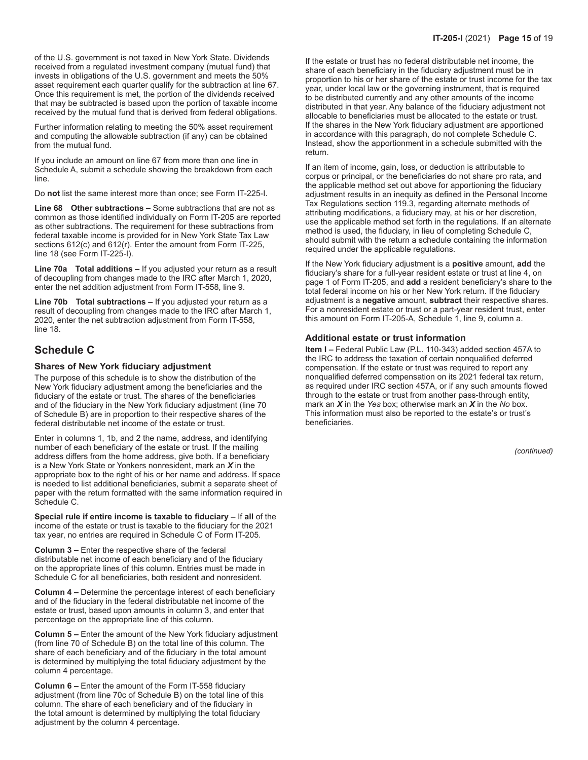of the U.S. government is not taxed in New York State. Dividends received from a regulated investment company (mutual fund) that invests in obligations of the U.S. government and meets the 50% asset requirement each quarter qualify for the subtraction at line 67. Once this requirement is met, the portion of the dividends received that may be subtracted is based upon the portion of taxable income received by the mutual fund that is derived from federal obligations.

Further information relating to meeting the 50% asset requirement and computing the allowable subtraction (if any) can be obtained from the mutual fund.

If you include an amount on line 67 from more than one line in Schedule A, submit a schedule showing the breakdown from each line.

Do **not** list the same interest more than once; see Form IT-225-I.

**Line 68 Other subtractions –** Some subtractions that are not as common as those identified individually on Form IT-205 are reported as other subtractions. The requirement for these subtractions from federal taxable income is provided for in New York State Tax Law sections 612(c) and 612(r). Enter the amount from Form IT-225, line 18 (see Form IT-225-I).

**Line 70a Total additions –** If you adjusted your return as a result of decoupling from changes made to the IRC after March 1, 2020, enter the net addition adjustment from Form IT-558, line 9.

**Line 70b Total subtractions –** If you adjusted your return as a result of decoupling from changes made to the IRC after March 1, 2020, enter the net subtraction adjustment from Form IT-558, line 18.

# **Schedule C**

#### **Shares of New York fiduciary adjustment**

The purpose of this schedule is to show the distribution of the New York fiduciary adjustment among the beneficiaries and the fiduciary of the estate or trust. The shares of the beneficiaries and of the fiduciary in the New York fiduciary adjustment (line 70 of Schedule B) are in proportion to their respective shares of the federal distributable net income of the estate or trust.

Enter in columns 1, 1b, and 2 the name, address, and identifying number of each beneficiary of the estate or trust. If the mailing address differs from the home address, give both. If a beneficiary is a New York State or Yonkers nonresident, mark an *X* in the appropriate box to the right of his or her name and address. If space is needed to list additional beneficiaries, submit a separate sheet of paper with the return formatted with the same information required in Schedule C.

**Special rule if entire income is taxable to fiduciary –** If **all** of the income of the estate or trust is taxable to the fiduciary for the 2021 tax year, no entries are required in Schedule C of Form IT‑205.

**Column 3 –** Enter the respective share of the federal distributable net income of each beneficiary and of the fiduciary on the appropriate lines of this column. Entries must be made in Schedule C for all beneficiaries, both resident and nonresident.

**Column 4 –** Determine the percentage interest of each beneficiary and of the fiduciary in the federal distributable net income of the estate or trust, based upon amounts in column 3, and enter that percentage on the appropriate line of this column.

**Column 5 –** Enter the amount of the New York fiduciary adjustment (from line 70 of Schedule B) on the total line of this column. The share of each beneficiary and of the fiduciary in the total amount is determined by multiplying the total fiduciary adjustment by the column 4 percentage.

**Column 6 –** Enter the amount of the Form IT-558 fiduciary adjustment (from line 70c of Schedule B) on the total line of this column. The share of each beneficiary and of the fiduciary in the total amount is determined by multiplying the total fiduciary adjustment by the column 4 percentage.

If the estate or trust has no federal distributable net income, the share of each beneficiary in the fiduciary adjustment must be in proportion to his or her share of the estate or trust income for the tax year, under local law or the governing instrument, that is required to be distributed currently and any other amounts of the income distributed in that year. Any balance of the fiduciary adjustment not allocable to beneficiaries must be allocated to the estate or trust. If the shares in the New York fiduciary adjustment are apportioned in accordance with this paragraph, do not complete Schedule C. Instead, show the apportionment in a schedule submitted with the return.

If an item of income, gain, loss, or deduction is attributable to corpus or principal, or the beneficiaries do not share pro rata, and the applicable method set out above for apportioning the fiduciary adjustment results in an inequity as defined in the Personal Income Tax Regulations section 119.3, regarding alternate methods of attributing modifications, a fiduciary may, at his or her discretion, use the applicable method set forth in the regulations. If an alternate method is used, the fiduciary, in lieu of completing Schedule C, should submit with the return a schedule containing the information required under the applicable regulations.

If the New York fiduciary adjustment is a **positive** amount, **add** the fiduciary's share for a full-year resident estate or trust at line 4, on page 1 of Form IT-205, and **add** a resident beneficiary's share to the total federal income on his or her New York return. If the fiduciary adjustment is a **negative** amount, **subtract** their respective shares. For a nonresident estate or trust or a part-year resident trust, enter this amount on Form IT‑205‑A, Schedule 1, line 9, column a.

#### **Additional estate or trust information**

**Item I –** Federal Public Law (P.L. 110-343) added section 457A to the IRC to address the taxation of certain nonqualified deferred compensation. If the estate or trust was required to report any nonqualified deferred compensation on its 2021 federal tax return, as required under IRC section 457A, or if any such amounts flowed through to the estate or trust from another pass-through entity, mark an *X* in the *Yes* box; otherwise mark an *X* in the *No* box. This information must also be reported to the estate's or trust's beneficiaries.

*(continued)*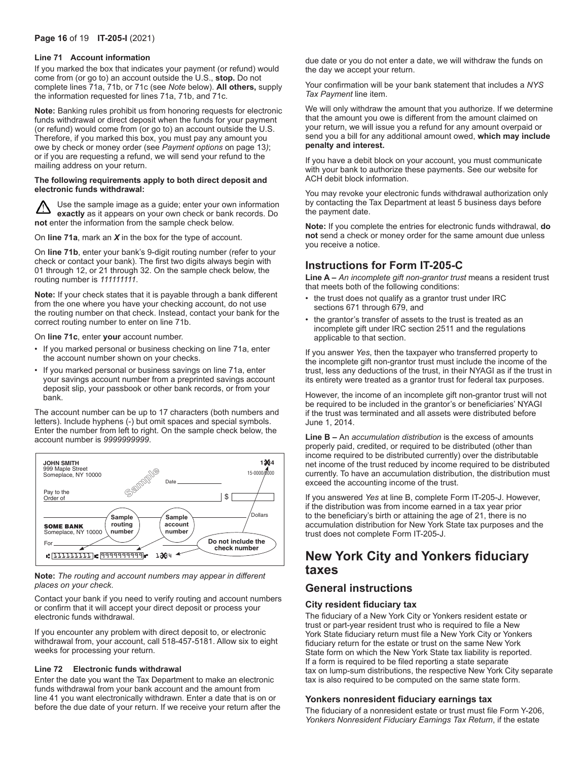### **Page 16** of 19 **IT-205-I** (2021)

#### **Line 71 Account information**

If you marked the box that indicates your payment (or refund) would come from (or go to) an account outside the U.S., **stop.** Do not complete lines 71a, 71b, or 71c (see *Note* below). **All others,** supply the information requested for lines 71a, 71b, and 71c.

**Note:** Banking rules prohibit us from honoring requests for electronic funds withdrawal or direct deposit when the funds for your payment (or refund) would come from (or go to) an account outside the U.S. Therefore, if you marked this box, you must pay any amount you owe by check or money order (see *Payment options* on page 13*)*; or if you are requesting a refund, we will send your refund to the mailing address on your return.

#### **The following requirements apply to both direct deposit and electronic funds withdrawal:**

Use the sample image as a guide; enter your own information **exactly** as it appears on your own check or bank records. Do **not** enter the information from the sample check below.

On **line 71a**, mark an *X* in the box for the type of account.

On **line 71b**, enter your bank's 9‑digit routing number (refer to your check or contact your bank). The first two digits always begin with 01 through 12, or 21 through 32. On the sample check below, the routing number is *111111111*.

**Note:** If your check states that it is payable through a bank different from the one where you have your checking account, do not use the routing number on that check. Instead, contact your bank for the correct routing number to enter on line 71b.

On **line 71c**, enter **your** account number.

- If you marked personal or business checking on line 71a, enter the account number shown on your checks.
- If you marked personal or business savings on line 71a, enter your savings account number from a preprinted savings account deposit slip, your passbook or other bank records, or from your bank.

The account number can be up to 17 characters (both numbers and letters). Include hyphens (-) but omit spaces and special symbols. Enter the number from left to right. On the sample check below, the account number is *9999999999*.



### **Note:** The routing and account numbers may appear in different *places on your check*.

Contact your bank if you need to verify routing and account numbers or confirm that it will accept your direct deposit or process your electronic funds withdrawal.

If you encounter any problem with direct deposit to, or electronic withdrawal from, your account, call 518-457-5181. Allow six to eight weeks for processing your return.

#### **Line 72 Electronic funds withdrawal**

Enter the date you want the Tax Department to make an electronic funds withdrawal from your bank account and the amount from line 41 you want electronically withdrawn. Enter a date that is on or before the due date of your return. If we receive your return after the

due date or you do not enter a date, we will withdraw the funds on the day we accept your return.

Your confirmation will be your bank statement that includes a *NYS Tax Payment* line item.

We will only withdraw the amount that you authorize. If we determine that the amount you owe is different from the amount claimed on your return, we will issue you a refund for any amount overpaid or send you a bill for any additional amount owed, **which may include penalty and interest.**

If you have a debit block on your account, you must communicate with your bank to authorize these payments. See our website for ACH debit block information.

You may revoke your electronic funds withdrawal authorization only by contacting the Tax Department at least 5 business days before the payment date.

**Note:** If you complete the entries for electronic funds withdrawal, **do not** send a check or money order for the same amount due unless you receive a notice.

# **Instructions for Form IT-205-C**

**Line A –** *An incomplete gift non-grantor trust* means a resident trust that meets both of the following conditions:

- the trust does not qualify as a grantor trust under IRC sections 671 through 679, and
- the grantor's transfer of assets to the trust is treated as an incomplete gift under IRC section 2511 and the regulations applicable to that section.

If you answer *Yes*, then the taxpayer who transferred property to the incomplete gift non-grantor trust must include the income of the trust, less any deductions of the trust, in their NYAGI as if the trust in its entirety were treated as a grantor trust for federal tax purposes.

However, the income of an incomplete gift non-grantor trust will not be required to be included in the grantor's or beneficiaries' NYAGI if the trust was terminated and all assets were distributed before June 1, 2014.

**Line B –** An *accumulation distribution* is the excess of amounts properly paid, credited, or required to be distributed (other than income required to be distributed currently) over the distributable net income of the trust reduced by income required to be distributed currently. To have an accumulation distribution, the distribution must exceed the accounting income of the trust.

If you answered *Yes* at line B, complete Form IT-205-J. However, if the distribution was from income earned in a tax year prior to the beneficiary's birth or attaining the age of 21, there is no accumulation distribution for New York State tax purposes and the trust does not complete Form IT-205-J.

# **New York City and Yonkers fiduciary taxes**

# **General instructions**

### **City resident fiduciary tax**

The fiduciary of a New York City or Yonkers resident estate or trust or part-year resident trust who is required to file a New York State fiduciary return must file a New York City or Yonkers fiduciary return for the estate or trust on the same New York State form on which the New York State tax liability is reported. If a form is required to be filed reporting a state separate tax on lump-sum distributions, the respective New York City separate tax is also required to be computed on the same state form.

### **Yonkers nonresident fiduciary earnings tax**

The fiduciary of a nonresident estate or trust must file Form Y‑206, *Yonkers Nonresident Fiduciary Earnings Tax Return*, if the estate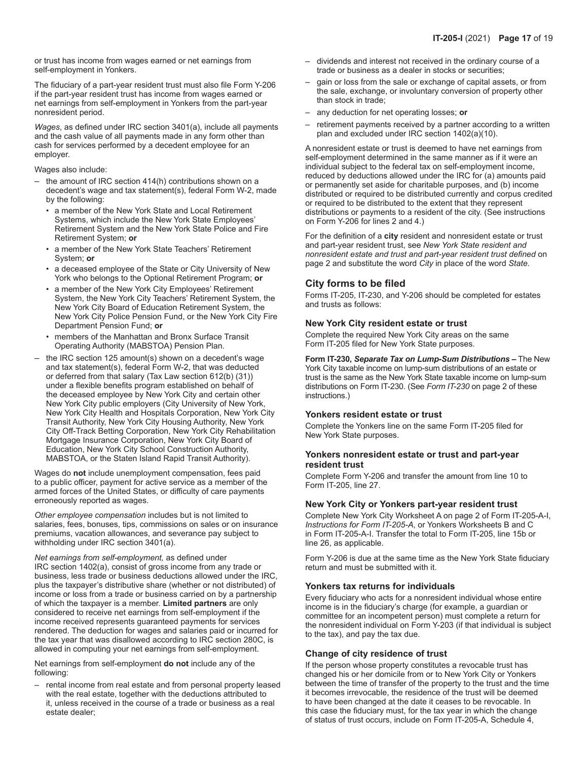or trust has income from wages earned or net earnings from self-employment in Yonkers.

The fiduciary of a part-year resident trust must also file Form Y‑206 if the part-year resident trust has income from wages earned or net earnings from self-employment in Yonkers from the part-year nonresident period.

*Wages*, as defined under IRC section 3401(a), include all payments and the cash value of all payments made in any form other than cash for services performed by a decedent employee for an employer.

#### Wages also include:

- the amount of IRC section 414(h) contributions shown on a decedent's wage and tax statement(s), federal Form W‑2, made by the following:
	- a member of the New York State and Local Retirement Systems, which include the New York State Employees' Retirement System and the New York State Police and Fire Retirement System; **or**
	- a member of the New York State Teachers' Retirement System; **or**
	- a deceased employee of the State or City University of New York who belongs to the Optional Retirement Program; **or**
	- a member of the New York City Employees' Retirement System, the New York City Teachers' Retirement System, the New York City Board of Education Retirement System, the New York City Police Pension Fund, or the New York City Fire Department Pension Fund; **or**
	- members of the Manhattan and Bronx Surface Transit Operating Authority (MABSTOA) Pension Plan.
- the IRC section 125 amount(s) shown on a decedent's wage and tax statement(s), federal Form W‑2, that was deducted or deferred from that salary (Tax Law section 612(b) (31)) under a flexible benefits program established on behalf of the deceased employee by New York City and certain other New York City public employers (City University of New York, New York City Health and Hospitals Corporation, New York City Transit Authority, New York City Housing Authority, New York City Off-Track Betting Corporation, New York City Rehabilitation Mortgage Insurance Corporation, New York City Board of Education, New York City School Construction Authority, MABSTOA, or the Staten Island Rapid Transit Authority).

Wages do **not** include unemployment compensation, fees paid to a public officer, payment for active service as a member of the armed forces of the United States, or difficulty of care payments erroneously reported as wages.

*Other employee compensation* includes but is not limited to salaries, fees, bonuses, tips, commissions on sales or on insurance premiums, vacation allowances, and severance pay subject to withholding under IRC section 3401(a).

*Net earnings from self-employment,* as defined under IRC section 1402(a), consist of gross income from any trade or business, less trade or business deductions allowed under the IRC, plus the taxpayer's distributive share (whether or not distributed) of income or loss from a trade or business carried on by a partnership of which the taxpayer is a member. **Limited partners** are only considered to receive net earnings from self-employment if the income received represents guaranteed payments for services rendered. The deduction for wages and salaries paid or incurred for the tax year that was disallowed according to IRC section 280C, is allowed in computing your net earnings from self-employment.

Net earnings from self-employment **do not** include any of the following:

– rental income from real estate and from personal property leased with the real estate, together with the deductions attributed to it, unless received in the course of a trade or business as a real estate dealer;

- dividends and interest not received in the ordinary course of a trade or business as a dealer in stocks or securities;
- gain or loss from the sale or exchange of capital assets, or from the sale, exchange, or involuntary conversion of property other than stock in trade;
- any deduction for net operating losses; **or**
- retirement payments received by a partner according to a written plan and excluded under IRC section 1402(a)(10).

A nonresident estate or trust is deemed to have net earnings from self-employment determined in the same manner as if it were an individual subject to the federal tax on self-employment income, reduced by deductions allowed under the IRC for (a) amounts paid or permanently set aside for charitable purposes, and (b) income distributed or required to be distributed currently and corpus credited or required to be distributed to the extent that they represent distributions or payments to a resident of the city. (See instructions on Form Y‑206 for lines 2 and 4.)

For the definition of a **city** resident and nonresident estate or trust and part-year resident trust, see *New York State resident and nonresident estate and trust and part-year resident trust defined* on page 2 and substitute the word *City* in place of the word *State.*

### **City forms to be filed**

Forms IT-205, IT-230, and Y‑206 should be completed for estates and trusts as follows:

#### **New York City resident estate or trust**

Complete the required New York City areas on the same Form IT‑205 filed for New York State purposes.

**Form IT-230,** *Separate Tax on Lump-Sum Distributions* **–** The New York City taxable income on lump-sum distributions of an estate or trust is the same as the New York State taxable income on lump-sum distributions on Form IT‑230. (See *Form IT‑230* on page 2 of these instructions.)

#### **Yonkers resident estate or trust**

Complete the Yonkers line on the same Form IT‑205 filed for New York State purposes.

#### **Yonkers nonresident estate or trust and part-year resident trust**

Complete Form Y-206 and transfer the amount from line 10 to Form IT‑205, line 27.

### **New York City or Yonkers part-year resident trust**

Complete New York City Worksheet A on page 2 of Form IT‑205‑A-I, *Instructions for Form IT-205-A*, or Yonkers Worksheets B and C in Form IT‑205‑A-I. Transfer the total to Form IT‑205, line 15b or line 26, as applicable.

Form Y-206 is due at the same time as the New York State fiduciary return and must be submitted with it.

#### **Yonkers tax returns for individuals**

Every fiduciary who acts for a nonresident individual whose entire income is in the fiduciary's charge (for example, a guardian or committee for an incompetent person) must complete a return for the nonresident individual on Form Y‑203 (if that individual is subject to the tax), and pay the tax due.

### **Change of city residence of trust**

If the person whose property constitutes a revocable trust has changed his or her domicile from or to New York City or Yonkers between the time of transfer of the property to the trust and the time it becomes irrevocable, the residence of the trust will be deemed to have been changed at the date it ceases to be revocable. In this case the fiduciary must, for the tax year in which the change of status of trust occurs, include on Form IT‑205‑A, Schedule 4,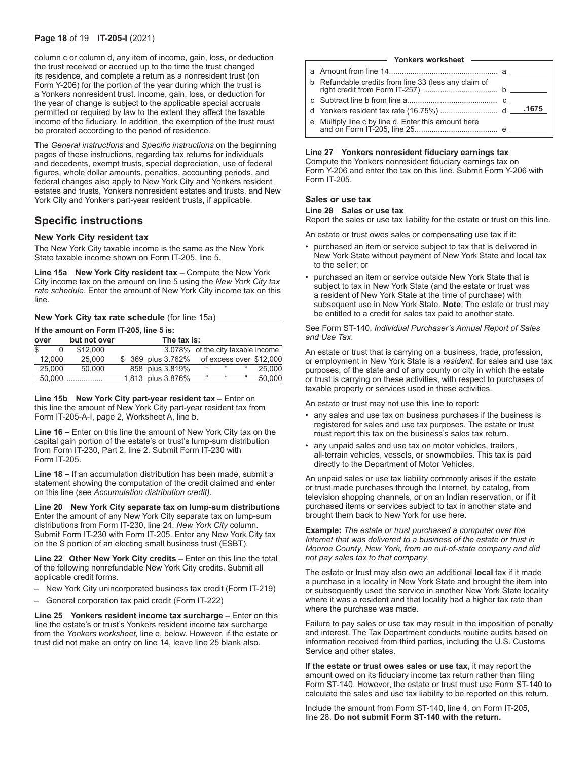#### **Page 18** of 19 **IT-205-I** (2021)

column c or column d, any item of income, gain, loss, or deduction the trust received or accrued up to the time the trust changed its residence, and complete a return as a nonresident trust (on Form Y‑206) for the portion of the year during which the trust is a Yonkers nonresident trust. Income, gain, loss, or deduction for the year of change is subject to the applicable special accruals permitted or required by law to the extent they affect the taxable income of the fiduciary. In addition, the exemption of the trust must be prorated according to the period of residence.

The *General instructions* and *Specific instructions* on the beginning pages of these instructions, regarding tax returns for individuals and decedents, exempt trusts, special depreciation, use of federal figures, whole dollar amounts, penalties, accounting periods, and federal changes also apply to New York City and Yonkers resident estates and trusts, Yonkers nonresident estates and trusts, and New York City and Yonkers part-year resident trusts, if applicable.

# **Specific instructions**

#### **New York City resident tax**

The New York City taxable income is the same as the New York State taxable income shown on Form IT‑205, line 5.

**Line 15a New York City resident tax –** Compute the New York City income tax on the amount on line 5 using the *New York City tax rate schedule*. Enter the amount of New York City income tax on this line.

### **New York City tax rate schedule** (for line 15a)

**If the amount on Form IT-205, line 5 is:**

| but not over<br>over |        |          |  | The tax is:                       |    |    |    |                         |
|----------------------|--------|----------|--|-----------------------------------|----|----|----|-------------------------|
| \$                   |        | \$12,000 |  | 3.078% of the city taxable income |    |    |    |                         |
|                      | 12.000 | 25,000   |  | \$ 369 plus 3.762%                |    |    |    | of excess over \$12,000 |
|                      | 25.000 | 50.000   |  | 858 plus 3.819%                   | 66 | 66 | 66 | 25.000                  |
|                      |        | $50.000$ |  | 1,813 plus 3.876%                 | 66 | 66 | 66 | 50.000                  |

**Line 15b New York City part-year resident tax –** Enter on this line the amount of New York City part-year resident tax from Form IT‑205‑A‑I, page 2, Worksheet A, line b.

**Line 16 –** Enter on this line the amount of New York City tax on the capital gain portion of the estate's or trust's lump-sum distribution from Form IT‑230, Part 2, line 2. Submit Form IT‑230 with Form IT-205.

**Line 18 –** If an accumulation distribution has been made, submit a statement showing the computation of the credit claimed and enter on this line (see *Accumulation distribution credit)*.

**Line 20 New York City separate tax on lump-sum distributions**  Enter the amount of any New York City separate tax on lump-sum distributions from Form IT‑230, line 24, *New York City* column. Submit Form IT‑230 with Form IT‑205. Enter any New York City tax on the S portion of an electing small business trust (ESBT).

Line 22 Other New York City credits - Enter on this line the total of the following nonrefundable New York City credits. Submit all applicable credit forms.

- New York City unincorporated business tax credit (Form IT-219)
- General corporation tax paid credit (Form IT-222)

**Line 25 Yonkers resident income tax surcharge –** Enter on this line the estate's or trust's Yonkers resident income tax surcharge from the *Yonkers worksheet,* line e, below. However, if the estate or trust did not make an entry on line 14, leave line 25 blank also.

#### **Yonkers worksheet**

| b Refundable credits from line 33 (less any claim of |  |
|------------------------------------------------------|--|
|                                                      |  |
|                                                      |  |
| e Multiply line c by line d. Enter this amount here  |  |

#### **Line 27 Yonkers nonresident fiduciary earnings tax**

Compute the Yonkers nonresident fiduciary earnings tax on Form Y‑206 and enter the tax on this line. Submit Form Y‑206 with Form IT-205.

### **Sales or use tax**

### **Line 28 Sales or use tax**

Report the sales or use tax liability for the estate or trust on this line.

An estate or trust owes sales or compensating use tax if it:

- purchased an item or service subject to tax that is delivered in New York State without payment of New York State and local tax to the seller; or
- purchased an item or service outside New York State that is subject to tax in New York State (and the estate or trust was a resident of New York State at the time of purchase) with subsequent use in New York State. **Note**: The estate or trust may be entitled to a credit for sales tax paid to another state.

See Form ST-140, *Individual Purchaser's Annual Report of Sales and Use Tax*.

An estate or trust that is carrying on a business, trade, profession, or employment in New York State is a *resident*, for sales and use tax purposes, of the state and of any county or city in which the estate or trust is carrying on these activities, with respect to purchases of taxable property or services used in these activities.

An estate or trust may not use this line to report:

- any sales and use tax on business purchases if the business is registered for sales and use tax purposes. The estate or trust must report this tax on the business's sales tax return.
- any unpaid sales and use tax on motor vehicles, trailers, all-terrain vehicles, vessels, or snowmobiles. This tax is paid directly to the Department of Motor Vehicles.

An unpaid sales or use tax liability commonly arises if the estate or trust made purchases through the Internet, by catalog, from television shopping channels, or on an Indian reservation, or if it purchased items or services subject to tax in another state and brought them back to New York for use here.

**Example:** *The estate or trust purchased a computer over the Internet that was delivered to a business of the estate or trust in Monroe County, New York, from an out-of-state company and did not pay sales tax to that company.*

The estate or trust may also owe an additional **local** tax if it made a purchase in a locality in New York State and brought the item into or subsequently used the service in another New York State locality where it was a resident and that locality had a higher tax rate than where the purchase was made.

Failure to pay sales or use tax may result in the imposition of penalty and interest. The Tax Department conducts routine audits based on information received from third parties, including the U.S. Customs Service and other states.

**If the estate or trust owes sales or use tax,** it may report the amount owed on its fiduciary income tax return rather than filing Form ST-140. However, the estate or trust must use Form ST-140 to calculate the sales and use tax liability to be reported on this return.

Include the amount from Form ST-140, line 4, on Form IT-205, line 28. **Do not submit Form ST-140 with the return.**